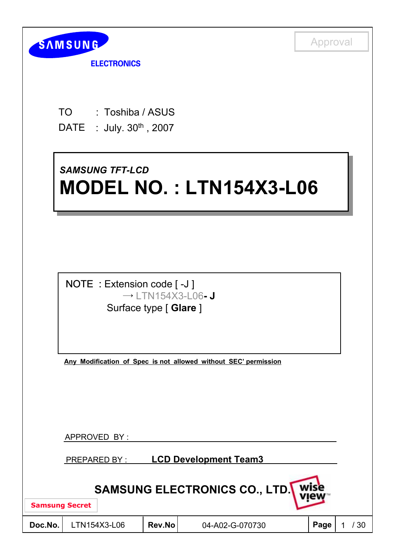

**ELECTRONICS** 

- TO : Toshiba / ASUS
- DATE : July. 30<sup>th</sup>, 2007

# *SAMSUNG TFT-LCD SAMSUNG TFT-LCD* **MODEL NO. : LTN154X3-L06 MODEL NO. : LTN154X3-L06**



**Any Modification of Spec is not allowed without SEC' permission**

APPROVED BY :

PREPARED BY : **LCD Development Team3**

| <b>SAMSUNG ELECTRONICS CO., LTD.</b> |
|--------------------------------------|
|--------------------------------------|

**Samsung Secret**

| Doc.No. | LTN <sup>-</sup> |
|---------|------------------|
|         |                  |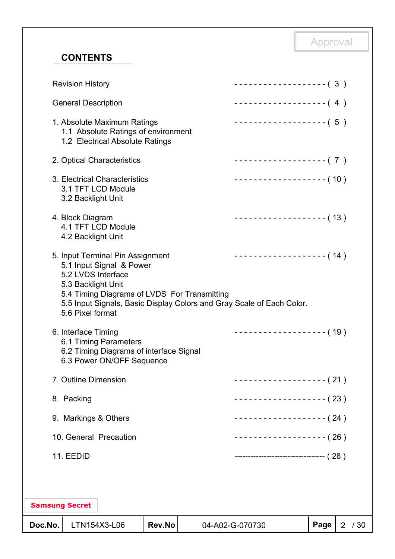## **CONTENTS**

| Doc.No. |                                                              | LTN154X3-L06                                                                                          | <b>Rev.No</b> |                                              | 04-A02-G-070730                                                                                   | Page | 2/30 |
|---------|--------------------------------------------------------------|-------------------------------------------------------------------------------------------------------|---------------|----------------------------------------------|---------------------------------------------------------------------------------------------------|------|------|
|         | <b>Samsung Secret</b>                                        |                                                                                                       |               |                                              |                                                                                                   |      |      |
|         |                                                              |                                                                                                       |               |                                              |                                                                                                   |      |      |
|         | 11. EEDID                                                    |                                                                                                       |               |                                              | ------------------------------------- (28)                                                        |      |      |
|         |                                                              | 10. General Precaution                                                                                |               |                                              | ------------------- (26)                                                                          |      |      |
|         | 9. Markings & Others                                         |                                                                                                       |               |                                              | -------------------- ( 24 )                                                                       |      |      |
|         | 8. Packing                                                   |                                                                                                       |               |                                              | ------------------- ( 23 )                                                                        |      |      |
|         | 7. Outline Dimension                                         |                                                                                                       |               |                                              | ------------------- ( 21 )                                                                        |      |      |
|         | 6. Interface Timing                                          | 6.1 Timing Parameters<br>6.2 Timing Diagrams of interface Signal<br>6.3 Power ON/OFF Sequence         |               |                                              | ------------------- (19)                                                                          |      |      |
|         | 5.2 LVDS Interface<br>5.3 Backlight Unit<br>5.6 Pixel format | 5. Input Terminal Pin Assignment<br>5.1 Input Signal & Power                                          |               | 5.4 Timing Diagrams of LVDS For Transmitting | ------------------- (14)<br>5.5 Input Signals, Basic Display Colors and Gray Scale of Each Color. |      |      |
|         | 4. Block Diagram<br>4.2 Backlight Unit                       | 4.1 TFT LCD Module                                                                                    |               |                                              | ------------------- (13)                                                                          |      |      |
|         | 3.2 Backlight Unit                                           | 3. Electrical Characteristics<br>3.1 TFT LCD Module                                                   |               |                                              | ------------------- (10)                                                                          |      |      |
|         |                                                              | 2. Optical Characteristics                                                                            |               |                                              | ------------------- (7)                                                                           |      |      |
|         |                                                              | 1. Absolute Maximum Ratings<br>1.1 Absolute Ratings of environment<br>1.2 Electrical Absolute Ratings |               |                                              | $------------(-5)$                                                                                |      |      |
|         | <b>General Description</b>                                   |                                                                                                       |               |                                              | ------------------- (4)                                                                           |      |      |
|         | <b>Revision History</b>                                      |                                                                                                       |               |                                              | -------------------- (3)                                                                          |      |      |

Approval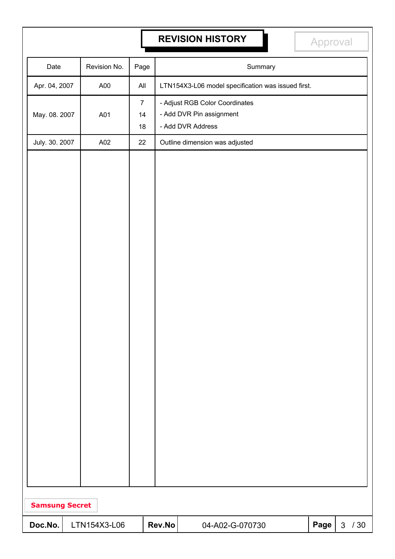# **REVISION HISTORY Approval**

| Date                  |  | Revision No. | Page                       |        | Summary                                                                         |      |              |     |  |
|-----------------------|--|--------------|----------------------------|--------|---------------------------------------------------------------------------------|------|--------------|-----|--|
| Apr. 04, 2007         |  | A00          | All                        |        | LTN154X3-L06 model specification was issued first.                              |      |              |     |  |
| May. 08. 2007         |  | A01          | $\overline{7}$<br>14<br>18 |        | - Adjust RGB Color Coordinates<br>- Add DVR Pin assignment<br>- Add DVR Address |      |              |     |  |
| July. 30. 2007        |  | A02          | 22                         |        | Outline dimension was adjusted                                                  |      |              |     |  |
|                       |  |              |                            |        |                                                                                 |      |              |     |  |
| <b>Samsung Secret</b> |  |              |                            |        |                                                                                 |      |              |     |  |
| Doc.No.               |  | LTN154X3-L06 |                            | Rev.No | 04-A02-G-070730                                                                 | Page | $\mathbf{3}$ | /30 |  |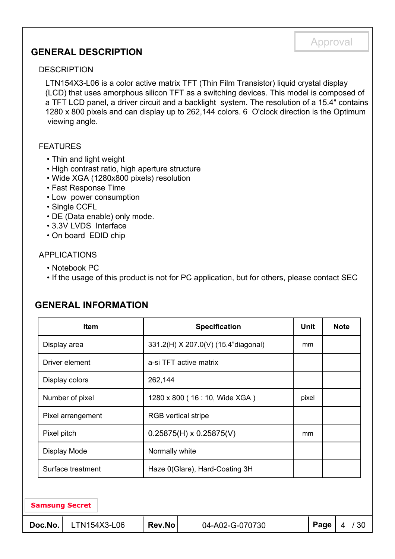### **GENERAL DESCRIPTION**

#### DESCRIPTION

LTN154X3-L06 is a color active matrix TFT (Thin Film Transistor) liquid crystal display (LCD) that uses amorphous silicon TFT as a switching devices. This model is composed of a TFT LCD panel, a driver circuit and a backlight system. The resolution of a 15.4" contains 1280 x 800 pixels and can display up to 262,144 colors. 6 O'clock direction is the Optimum viewing angle.

#### FEATURES

- Thin and light weight
- High contrast ratio, high aperture structure
- Wide XGA (1280x800 pixels) resolution
- Fast Response Time
- Low power consumption
- Single CCFL
- DE (Data enable) only mode.
- 3.3V LVDS Interface
- On board EDID chip

#### APPLICATIONS

- Notebook PC
- If the usage of this product is not for PC application, but for others, please contact SEC

# **GENERAL INFORMATION**

| <b>Item</b>             |                                | <b>Specification</b>                | <b>Unit</b> |      | <b>Note</b> |
|-------------------------|--------------------------------|-------------------------------------|-------------|------|-------------|
| Display area            |                                | 331.2(H) X 207.0(V) (15.4"diagonal) | mm          |      |             |
| Driver element          |                                | a-si TFT active matrix              |             |      |             |
| Display colors          | 262,144                        |                                     |             |      |             |
| Number of pixel         |                                | 1280 x 800 (16 : 10, Wide XGA)      | pixel       |      |             |
| Pixel arrangement       | <b>RGB</b> vertical stripe     |                                     |             |      |             |
| Pixel pitch             | $0.25875(H) \times 0.25875(V)$ |                                     |             |      |             |
| Display Mode            | Normally white                 |                                     |             |      |             |
| Surface treatment       | Haze 0(Glare), Hard-Coating 3H |                                     |             |      |             |
|                         |                                |                                     |             |      |             |
| <b>Samsung Secret</b>   |                                |                                     |             |      |             |
| Doc.No.<br>LTN154X3-L06 | Rev.No                         | 04-A02-G-070730                     |             | Page | /30<br>4    |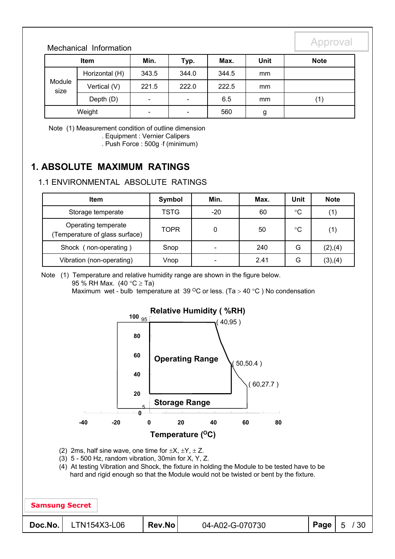#### Mechanical Information

| <b>Item</b>    |                | Min.                         | Typ.                     | Max.  | Unit | <b>Note</b> |
|----------------|----------------|------------------------------|--------------------------|-------|------|-------------|
| Module<br>size | Horizontal (H) | 343.5                        | 344.0                    | 344.5 | mm   |             |
|                | Vertical (V)   | 221.5                        | 222.0                    | 222.5 | mm   |             |
|                | Depth (D)      | $\qquad \qquad \blacksquare$ | $\overline{\phantom{a}}$ | 6.5   | mm   | (1)         |
| Weight         |                | $\qquad \qquad \blacksquare$ | $\overline{\phantom{a}}$ | 560   | g    |             |

Note (1) Measurement condition of outline dimension . Equipment : Vernier Calipers

. Push Force : 500g f (minimum)

### **1. ABSOLUTE MAXIMUM RATINGS**

#### 1.1 ENVIRONMENTAL ABSOLUTE RATINGS

| <b>Item</b>                                          | Symbol      | Min.                     | Max. | Unit        | <b>Note</b> |
|------------------------------------------------------|-------------|--------------------------|------|-------------|-------------|
| Storage temperate                                    | <b>TSTG</b> | $-20$                    | 60   | $^{\circ}C$ |             |
| Operating temperate<br>Temperature of glass surface) | <b>TOPR</b> | ი                        | 50   | °C          | (1)         |
| Shock (non-operating)                                | Snop        | $\overline{\phantom{0}}$ | 240  | G           | (2),(4)     |
| Vibration (non-operating)                            | Vnop        | $\overline{\phantom{a}}$ | 2.41 | G           | (3),(4)     |

Note (1) Temperature and relative humidity range are shown in the figure below.

95 % RH Max. (40  $^{\circ}$ C  $\geq$  Ta)

Maximum wet - bulb temperature at 39  $\mathrm{^{\circ}C}$  or less. (Ta > 40  $\mathrm{^{\circ}C}$ ) No condensation

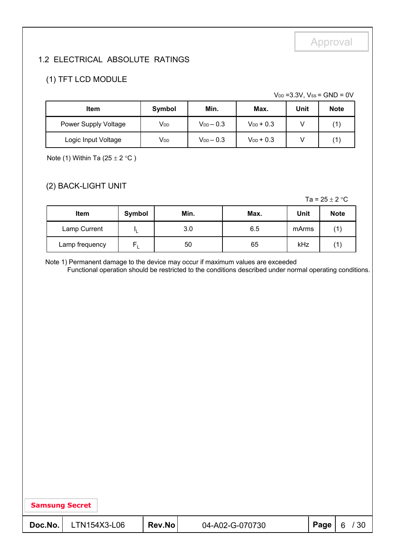#### 1.2 ELECTRICAL ABSOLUTE RATINGS

#### (1) TFT LCD MODULE

 $V_{DD} = 3.3V$ ,  $V_{SS} = GND = 0V$ 

| Item                 | Symbol                | Min.             | Max.           | Unit | <b>Note</b> |
|----------------------|-----------------------|------------------|----------------|------|-------------|
| Power Supply Voltage | <b>V<sub>DD</sub></b> | $V_{DD}$ $-$ 0.3 | $V_{DD}$ + 0.3 |      |             |
| Logic Input Voltage  | V <sub>DD</sub>       | $V_{DD}$ $-$ 0.3 | $V_{DD}$ + 0.3 |      |             |

Note (1) Within Ta (25  $\pm$  2 °C)

#### (2) BACK-LIGHT UNIT

Ta =  $25 \pm 2$  °C

| <b>Item</b>    | Min.<br>Max.<br>Symbol |     | Unit | <b>Note</b> |  |
|----------------|------------------------|-----|------|-------------|--|
| Lamp Current   |                        | 3.0 | 6.5  | mArms       |  |
| Lamp frequency | ┕                      | 50  | 65   | kHz         |  |

Note 1) Permanent damage to the device may occur if maximum values are exceeded

Functional operation should be restricted to the conditions described under normal operating conditions.

| <b>Samsung Secret</b> |  |
|-----------------------|--|
|-----------------------|--|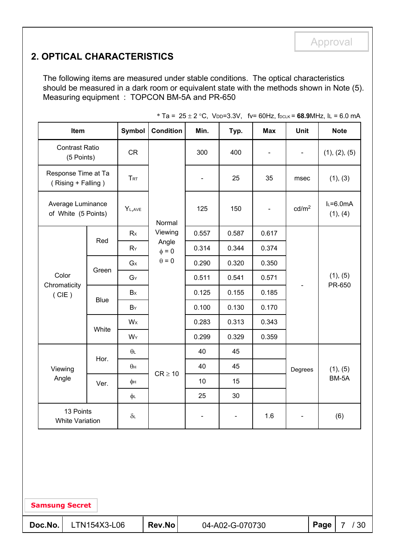## **2. OPTICAL CHARACTERISTICS**

The following items are measured under stable conditions. The optical characteristics should be measured in a dark room or equivalent state with the methods shown in Note (5). Measuring equipment : TOPCON BM-5A and PR-650

| Item                                      |              | Symbol         | <b>Condition</b>    | Min.                         | Typ.  | <b>Max</b>               | Unit                     | <b>Note</b>           |
|-------------------------------------------|--------------|----------------|---------------------|------------------------------|-------|--------------------------|--------------------------|-----------------------|
| <b>Contrast Ratio</b><br>(5 Points)       |              | <b>CR</b>      |                     | 300                          | 400   |                          | $\blacksquare$           | (1), (2), (5)         |
| Response Time at Ta<br>(Rising + Falling) |              | TRT            |                     | $\qquad \qquad \blacksquare$ | 25    | 35                       | msec                     | (1), (3)              |
| Average Luminance<br>of White (5 Points)  |              | $Y_{L,AVE}$    | Normal              | 125                          | 150   | $\overline{\phantom{a}}$ | cd/m <sup>2</sup>        | $L=6.0mA$<br>(1), (4) |
|                                           |              | Rx             | Viewing             | 0.557                        | 0.587 | 0.617                    |                          |                       |
|                                           | Red<br>$R_Y$ |                | Angle<br>$\phi = 0$ | 0.314                        | 0.344 | 0.374                    |                          |                       |
|                                           |              | $G \times$     | $\theta = 0$        | 0.290                        | 0.320 | 0.350                    |                          | (1), (5)<br>PR-650    |
| Color                                     | Green        | $G_Y$          |                     | 0.511                        | 0.541 | 0.571                    | $\overline{\phantom{0}}$ |                       |
| Chromaticity<br>(CIE)                     | <b>Blue</b>  | Bx             |                     | 0.125                        | 0.155 | 0.185                    |                          |                       |
|                                           |              | BY             |                     | 0.100                        | 0.130 | 0.170                    |                          |                       |
|                                           | White        | W <sub>x</sub> |                     | 0.283                        | 0.313 | 0.343                    |                          |                       |
|                                           |              | WY             |                     | 0.299                        | 0.329 | 0.359                    |                          |                       |
|                                           | Hor.         | $\theta$       |                     | 40                           | 45    |                          |                          |                       |
| Viewing                                   |              | $\theta$ н     | $CR \geq 10$        | 40                           | 45    |                          | Degrees                  | (1), (5)              |
| Angle                                     | Ver.         | φн             |                     | 10                           | 15    |                          |                          | BM-5A                 |
|                                           |              | φL             |                     | 25                           | 30    |                          |                          |                       |
| 13 Points<br><b>White Variation</b>       |              | $\delta$ L     |                     |                              |       | 1.6                      | ۳                        | (6)                   |
|                                           |              |                |                     |                              |       |                          |                          |                       |

\* Ta =  $25 \pm 2$  °C, V<sub>DD</sub>=3.3V, fv= 60Hz, f<sub>DCLK</sub> = 68.9MHz, IL = 6.0 mA

**Samsung Secret**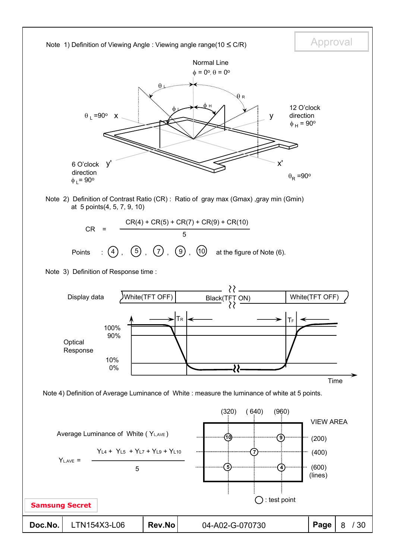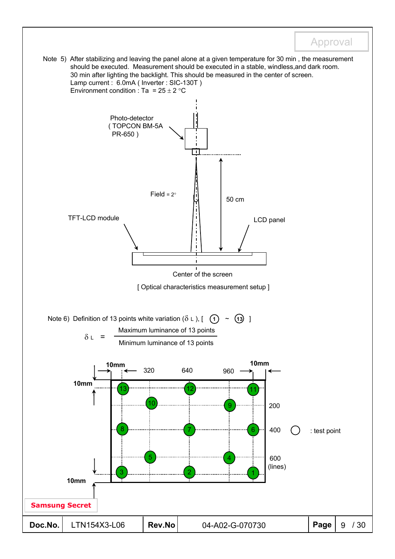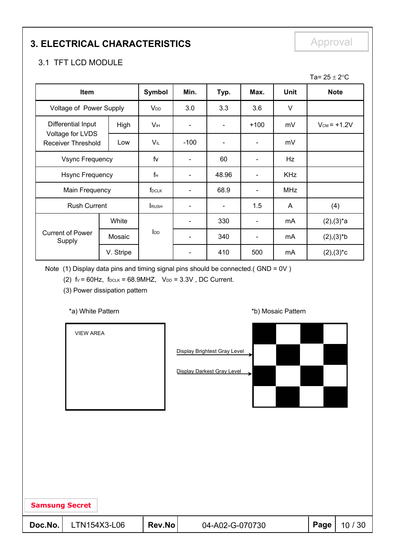# **3. ELECTRICAL CHARACTERISTICS** Approval

### 3.1 TFT LCD MODULE

|                                               |           |                            |                          |                          |                          |             | Ta= $25 \pm 2$ °C  |
|-----------------------------------------------|-----------|----------------------------|--------------------------|--------------------------|--------------------------|-------------|--------------------|
| Item                                          |           | Symbol                     | Min.                     | Typ.                     | Max.                     | <b>Unit</b> | <b>Note</b>        |
| Voltage of Power Supply                       |           | V <sub>DD</sub>            | 3.0                      | 3.3                      | 3.6                      | $\vee$      |                    |
| Differential Input                            | High      | <b>V</b> <sub>IH</sub>     |                          |                          | $+100$                   | mV          | $V_{CM}$ = $+1.2V$ |
| Voltage for LVDS<br><b>Receiver Threshold</b> | Low       | VIL                        | $-100$                   |                          |                          | mV          |                    |
| <b>Vsync Frequency</b>                        |           | fv                         | $\qquad \qquad -$        | 60                       | ۰                        | Hz          |                    |
| <b>Hsync Frequency</b>                        |           | $f_H$                      |                          | 48.96                    | $\overline{\phantom{a}}$ | <b>KHz</b>  |                    |
| Main Frequency                                |           | f <sub>DCLK</sub>          |                          | 68.9                     | $\overline{\phantom{a}}$ | <b>MHz</b>  |                    |
| <b>Rush Current</b>                           |           | <b>RUSH</b>                | $\overline{\phantom{a}}$ | $\overline{\phantom{a}}$ | 1.5                      | A           | (4)                |
|                                               | White     |                            | $\overline{\phantom{a}}$ | 330                      | $\overline{\phantom{a}}$ | mA          | $(2),(3)^{*}a$     |
| <b>Current of Power</b><br>Supply             | Mosaic    | $\mathsf{I}_{\mathsf{DD}}$ | $\overline{\phantom{a}}$ | 340                      | $\overline{\phantom{a}}$ | mA          | $(2),(3)*b$        |
|                                               | V. Stripe |                            |                          | 410                      | 500                      | mA          | $(2),(3)^*c$       |

Note (1) Display data pins and timing signal pins should be connected.( GND = 0V )

(2)  $f_v = 60Hz$ ,  $f_{DCLK} = 68.9MHz$ ,  $V_{DD} = 3.3V$ , DC Current.

(3) Power dissipation pattern

#### \*a) White Pattern **\*b**) Mosaic Pattern **\*b**)

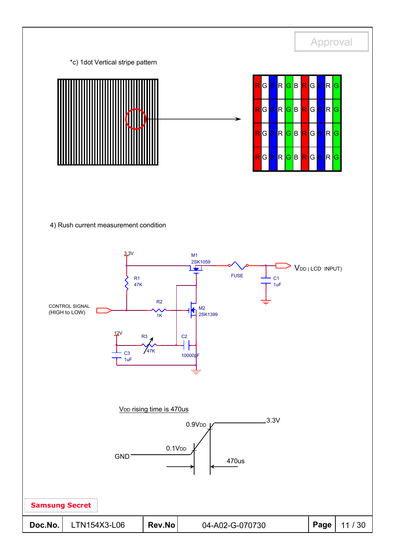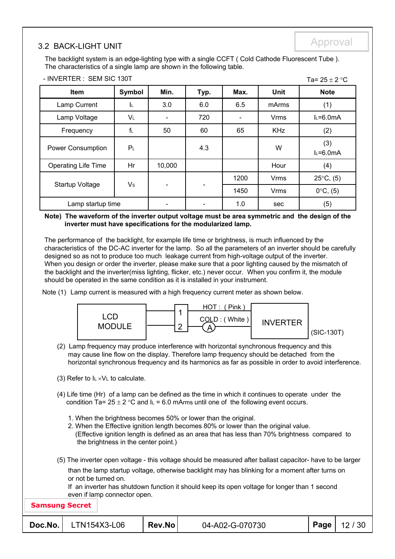# Approval 3.2 BACK-LIGHT UNIT

- INVERTER : SEM SIC 130T

The backlight system is an edge-lighting type with a single CCFT ( Cold Cathode Fluorescent Tube ). The characteristics of a single lamp are shown in the following table.

| - INVERTER : SEM SIC 130T  |                |                              |      |      |             | Ta= $25 \pm 2$ °C   |
|----------------------------|----------------|------------------------------|------|------|-------------|---------------------|
| Item                       | Symbol         | Min.                         | Typ. | Max. | <b>Unit</b> | <b>Note</b>         |
| Lamp Current               | -lu            | 3.0                          | 6.0  | 6.5  | mArms       | (1)                 |
| Lamp Voltage               | $V_L$          |                              | 720  |      | <b>Vrms</b> | $L=6.0mA$           |
| Frequency                  | f∟             | 50                           | 60   | 65   | <b>KHz</b>  | (2)                 |
| <b>Power Consumption</b>   | P <sub>L</sub> |                              | 4.3  |      | W           | (3)<br>$L=6.0mA$    |
| <b>Operating Life Time</b> | Hr             | 10,000                       |      |      | Hour        | (4)                 |
|                            | V <sub>s</sub> |                              |      | 1200 | <b>Vrms</b> | $25^{\circ}C$ , (5) |
| <b>Startup Voltage</b>     |                | $\qquad \qquad \blacksquare$ |      | 1450 | <b>Vrms</b> | $0^{\circ}C$ , (5)  |
| Lamp startup time          |                |                              |      | 1.0  | sec         | (5)                 |

#### **Note) The waveform of the inverter output voltage must be area symmetric and the design of the inverter must have specifications for the modularized lamp.**

The performance of the backlight, for example life time or brightness, is much influenced by the characteristics of the DC-AC inverter for the lamp. So all the parameters of an inverter should be carefully designed so as not to produce too much leakage current from high-voltage output of the inverter. When you design or order the inverter, please make sure that a poor lighting caused by the mismatch of the backlight and the inverter(miss lighting, flicker, etc.) never occur. When you confirm it, the module should be operated in the same condition as it is installed in your instrument.

Note (1) Lamp current is measured with a high frequency current meter as shown below.



- (2) Lamp frequency may produce interference with horizontal synchronous frequency and this may cause line flow on the display. Therefore lamp frequency should be detached from the horizontal synchronous frequency and its harmonics as far as possible in order to avoid interference.
- (3) Refer to  $I_L \times V_L$  to calculate.
- (4) Life time (Hr) of a lamp can be defined as the time in which it continues to operate under the condition Ta=  $25 \pm 2$  °C and I<sub>L</sub> = 6.0 mArms until one of the following event occurs.
	- 1. When the brightness becomes 50% or lower than the original.
	- 2. When the Effective ignition length becomes 80% or lower than the original value. (Effective ignition length is defined as an area that has less than 70% brightness compared to the brightness in the center point.)
- (5) The inverter open voltage this voltage should be measured after ballast capacitor- have to be larger than the lamp startup voltage, otherwise backlight may has blinking for a moment after turns on or not be turned on.

If an inverter has shutdown function it should keep its open voltage for longer than 1 second even if lamp connector open.

| <b>Samsung Secret</b> |                                               |        |                 |                    |
|-----------------------|-----------------------------------------------|--------|-----------------|--------------------|
|                       | $\textsf{Doc}.\textsf{No.}\vert$ LTN154X3-L06 | Rev.No | 04-A02-G-070730 | $'$ Page   12 / 30 |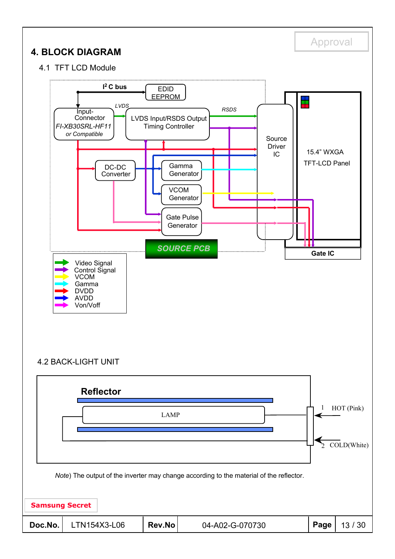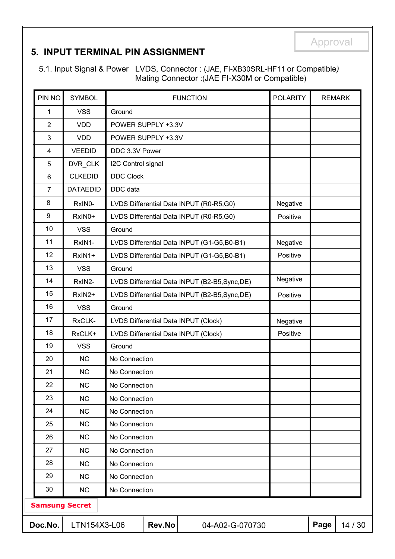### **5. INPUT TERMINAL PIN ASSIGNMENT**

5.1. Input Signal & Power LVDS, Connector : (JAE, FI-XB30SRL-HF11 or Compatible*)* Mating Connector :(JAE FI-X30M or Compatible)

| PIN NO                | <b>SYMBOL</b>   |                    |                    | <b>FUNCTION</b>                                | <b>POLARITY</b> | <b>REMARK</b> |         |
|-----------------------|-----------------|--------------------|--------------------|------------------------------------------------|-----------------|---------------|---------|
| 1                     | <b>VSS</b>      | Ground             |                    |                                                |                 |               |         |
| $\overline{2}$        | <b>VDD</b>      |                    | POWER SUPPLY +3.3V |                                                |                 |               |         |
| 3                     | <b>VDD</b>      |                    | POWER SUPPLY +3.3V |                                                |                 |               |         |
| 4                     | <b>VEEDID</b>   | DDC 3.3V Power     |                    |                                                |                 |               |         |
| 5                     | DVR_CLK         | I2C Control signal |                    |                                                |                 |               |         |
| 6                     | <b>CLKEDID</b>  | <b>DDC Clock</b>   |                    |                                                |                 |               |         |
| $\overline{7}$        | <b>DATAEDID</b> | DDC data           |                    |                                                |                 |               |         |
| 8                     | RxIN0-          |                    |                    | LVDS Differential Data INPUT (R0-R5,G0)        | Negative        |               |         |
| 9                     | RxIN0+          |                    |                    | LVDS Differential Data INPUT (R0-R5,G0)        | Positive        |               |         |
| 10                    | <b>VSS</b>      | Ground             |                    |                                                |                 |               |         |
| 11                    | RxIN1-          |                    |                    | LVDS Differential Data INPUT (G1-G5,B0-B1)     | Negative        |               |         |
| 12                    | RxIN1+          |                    |                    | LVDS Differential Data INPUT (G1-G5,B0-B1)     | Positive        |               |         |
| 13                    | <b>VSS</b>      | Ground             |                    |                                                |                 |               |         |
| 14                    | RxIN2-          |                    |                    | LVDS Differential Data INPUT (B2-B5, Sync, DE) | Negative        |               |         |
| 15                    | RxIN2+          |                    |                    | LVDS Differential Data INPUT (B2-B5, Sync, DE) | Positive        |               |         |
| 16                    | <b>VSS</b>      | Ground             |                    |                                                |                 |               |         |
| 17                    | RxCLK-          |                    |                    | LVDS Differential Data INPUT (Clock)           | Negative        |               |         |
| 18                    | RxCLK+          |                    |                    | LVDS Differential Data INPUT (Clock)           | Positive        |               |         |
| 19                    | <b>VSS</b>      | Ground             |                    |                                                |                 |               |         |
| 20                    | <b>NC</b>       | No Connection      |                    |                                                |                 |               |         |
| 21                    | <b>NC</b>       | No Connection      |                    |                                                |                 |               |         |
| 22                    | NC              | No Connection      |                    |                                                |                 |               |         |
| 23                    | <b>NC</b>       | No Connection      |                    |                                                |                 |               |         |
| 24                    | <b>NC</b>       | No Connection      |                    |                                                |                 |               |         |
| 25                    | <b>NC</b>       | No Connection      |                    |                                                |                 |               |         |
| 26                    | <b>NC</b>       | No Connection      |                    |                                                |                 |               |         |
| 27                    | <b>NC</b>       | No Connection      |                    |                                                |                 |               |         |
| 28                    | <b>NC</b>       | No Connection      |                    |                                                |                 |               |         |
| 29                    | <b>NC</b>       | No Connection      |                    |                                                |                 |               |         |
| 30                    | <b>NC</b>       | No Connection      |                    |                                                |                 |               |         |
| <b>Samsung Secret</b> |                 |                    |                    |                                                |                 |               |         |
| Doc.No.               | LTN154X3-L06    |                    | Rev.No             | 04-A02-G-070730                                |                 | Page          | 14 / 30 |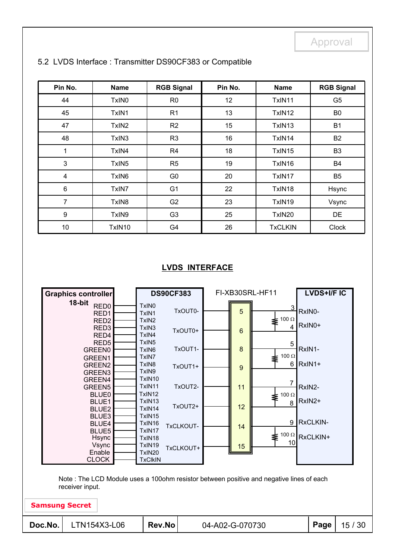| Pin No.                 | <b>Name</b>       | <b>RGB Signal</b> | Pin No. | <b>Name</b>    | <b>RGB Signal</b> |
|-------------------------|-------------------|-------------------|---------|----------------|-------------------|
| 44                      | TxIN0             | R <sub>0</sub>    | 12      | TxIN11         | G <sub>5</sub>    |
| 45                      | TxIN1             | R <sub>1</sub>    | 13      | TxIN12         | B <sub>0</sub>    |
| 47                      | TxIN <sub>2</sub> | R2                | 15      | TxIN13         | <b>B1</b>         |
| 48                      | TxIN3             | R <sub>3</sub>    | 16      | TxIN14         | <b>B2</b>         |
| 1                       | TxIN4             | R <sub>4</sub>    | 18      | TxIN15         | B <sub>3</sub>    |
| $\mathbf{3}$            | TxIN <sub>5</sub> | R <sub>5</sub>    | 19      | TxIN16         | <b>B4</b>         |
| $\overline{\mathbf{4}}$ | TxIN <sub>6</sub> | G <sub>0</sub>    | 20      | TxIN17         | B <sub>5</sub>    |
| $\,6\,$                 | TxIN7             | G <sub>1</sub>    | 22      | TxIN18         | Hsync             |
| $\overline{7}$          | TxIN8             | G <sub>2</sub>    | 23      | TxIN19         | Vsync             |
| $\boldsymbol{9}$        | TxIN9             | G <sub>3</sub>    | 25      | TxIN20         | DE                |
| 10                      | TxIN10            | G4                | 26      | <b>TxCLKIN</b> | <b>Clock</b>      |

#### 5.2 LVDS Interface : Transmitter DS90CF383 or Compatible

#### **LVDS INTERFACE**

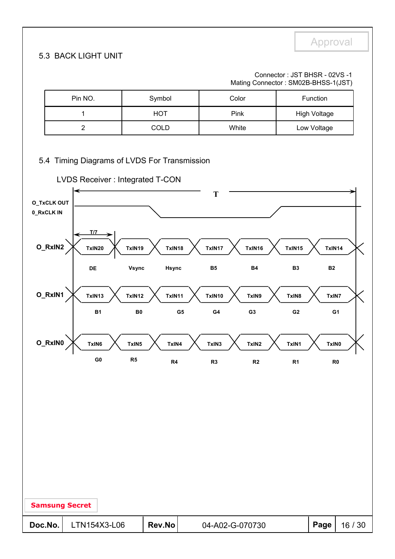#### 5.3 BACK LIGHT UNIT

Connector : JST BHSR - 02VS -1 Mating Connector : SM02B-BHSS-1(JST)

| Pin NO. | Symbol | Color | <b>Function</b>     |
|---------|--------|-------|---------------------|
|         | HOT    | Pink  | <b>High Voltage</b> |
|         | COLD   | White | Low Voltage         |

#### 5.4 Timing Diagrams of LVDS For Transmission



| <b>Samsung Secret</b> |              |        |                 |      |       |
|-----------------------|--------------|--------|-----------------|------|-------|
| Doc.No.               | LTN154X3-L06 | Rev.No | 04-A02-G-070730 | Page | 16/30 |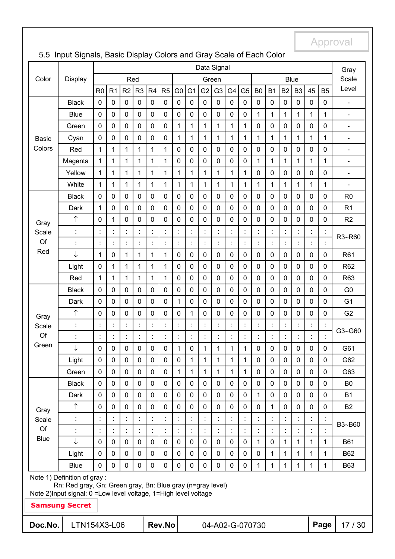| Red<br><b>Blue</b><br>Color<br><b>Display</b><br>Green<br>Scale<br>Level<br>G <sub>2</sub><br>G4<br>R <sub>0</sub><br>R2<br>R <sub>3</sub><br>R <sub>4</sub><br>R <sub>5</sub><br>G <sub>0</sub><br>G <sub>1</sub><br>G <sub>3</sub><br>G <sub>5</sub><br>B <sub>0</sub><br><b>B1</b><br>B <sub>2</sub><br>B <sub>3</sub><br>45<br>R <sub>1</sub><br>B <sub>5</sub><br><b>Black</b><br>0<br>$\pmb{0}$<br>0<br>$\pmb{0}$<br>$\mathbf 0$<br>$\pmb{0}$<br>$\mathbf 0$<br>$\mathbf 0$<br>$\pmb{0}$<br>$\pmb{0}$<br>0<br>$\pmb{0}$<br>$\pmb{0}$<br>$\pmb{0}$<br>$\pmb{0}$<br>$\pmb{0}$<br>$\mathbf 0$<br>$\mathbf 0$<br>$\blacksquare$<br>$\mathbf 0$<br>$\mathbf 0$<br>$\mathbf 0$<br>$\mathbf 0$<br>1<br>$\mathbf{1}$<br><b>Blue</b><br>$\mathbf 0$<br>$\mathbf 0$<br>$\pmb{0}$<br>$\pmb{0}$<br>$\mathbf 0$<br>$\mathbf 0$<br>$\mathbf 0$<br>$\pmb{0}$<br>$\mathbf{1}$<br>$\mathbf{1}$<br>1<br>1<br>$\blacksquare$<br>$\mathbf 0$<br>$\mathbf 0$<br>$\mathbf{1}$<br>$\mathbf{1}$<br>$\mathbf{1}$<br>$\mathbf{1}$<br>$\mathbf 0$<br>0<br>$\mathbf 0$<br>$\mathbf 0$<br>$\mathbf{1}$<br>1<br>$\mathbf 0$<br>$\mathbf 0$<br>$\mathbf 0$<br>0<br>$\mathbf 0$<br>$\mathbf 0$<br>Green<br>$\blacksquare$<br>$\mathbf 0$<br>$\mathbf 0$<br>$\mathbf 0$<br>$\mathbf{1}$<br>1<br>1<br>1<br>$\mathbf 0$<br>$\mathbf 0$<br>$\pmb{0}$<br>$\mathbf{1}$<br>1<br>$\mathbf{1}$<br>$\mathbf{1}$<br>1<br>1<br>$\mathbf{1}$<br>$\mathbf{1}$<br>Cyan<br><b>Basic</b><br>$\overline{\phantom{a}}$<br>Colors<br>$\mathbf{1}$<br>$\mathbf{1}$<br>$\mathbf{1}$<br>1<br>$\mathbf 0$<br>$\mathbf 0$<br>$\mathbf 0$<br>$\mathbf 0$<br>$\mathbf 0$<br>$\mathbf 0$<br>$\mathbf 0$<br>$\mathbf 0$<br>$\mathbf 0$<br>$\mathbf 0$<br>$\mathbf 0$<br>$\mathbf 0$<br>Red<br>1<br>1<br>$\blacksquare$<br>1<br>$\mathbf{1}$<br>$\mathbf{1}$<br>1<br>$\mathbf 0$<br>$\mathbf 0$<br>0<br>$\mathbf 0$<br>$\mathbf 0$<br>$\mathbf 0$<br>1<br>1<br>$\mathbf{1}$<br>$\mathbf{1}$<br>Magenta<br>1<br>1<br>1<br>1<br>$\blacksquare$<br>1<br>1<br>$\mathbf{1}$<br>$\mathbf 1$<br>1<br>$\mathbf{1}$<br>$\mathbf{1}$<br>1<br>1<br>1<br>$\mathbf 0$<br>$\mathbf 0$<br>0<br>$\mathbf 0$<br>$\mathbf 0$<br>$\mathbf 0$<br>Yellow<br>1<br>1<br>$\blacksquare$<br>1<br>1<br>$\mathbf{1}$<br>1<br>1<br>1<br>1<br>White<br>1<br>1<br>1<br>1<br>1<br>1<br>1<br>1<br>1<br>1<br>1<br>$\blacksquare$<br>0<br>$\mathbf 0$<br>0<br>$\pmb{0}$<br>$\pmb{0}$<br>0<br>0<br>0<br>0<br>$\pmb{0}$<br><b>Black</b><br>$\mathbf 0$<br>$\mathbf 0$<br>$\mathbf 0$<br>$\mathbf 0$<br>0<br>$\mathbf 0$<br>0<br>$\mathbf 0$<br>R <sub>0</sub><br>$\mathbf{1}$<br>$\mathbf 0$<br>$\mathbf 0$<br>0<br>$\mathbf 0$<br>$\pmb{0}$<br>0<br>$\mathbf 0$<br>0<br>$\mathbf 0$<br>$\mathbf 0$<br>0<br>0<br>$\pmb{0}$<br>0<br>$\mathbf 0$<br>$\mathbf 0$<br>$\mathbf 0$<br>R <sub>1</sub><br>Dark<br>↑<br>1<br>$\mathbf 0$<br>$\mathbf 0$<br>$\mathbf 0$<br>0<br>$\mathbf 0$<br>0<br>0<br>0<br>$\mathbf 0$<br>$\mathbf 0$<br>0<br>$\mathbf 0$<br>$\mathbf 0$<br>0<br>0<br>0<br>0<br>R <sub>2</sub><br>Gray<br>Ì<br>÷<br>÷<br>$\ddot{\cdot}$<br>$\ddot{\cdot}$<br>Ì.<br>$\ddot{\cdot}$<br>$\ddot{\cdot}$<br>İ<br>$\ddot{\cdot}$<br>Scale<br>R3~R60<br>Of<br>Ì.<br>÷<br>t,<br>$\ddot{\cdot}$<br>t<br>$\ddot{\cdot}$<br>$\ddot{\cdot}$<br>Ì.<br>$\ddot{\cdot}$<br>t<br>$\ddot{\cdot}$<br>$\ddot{\cdot}$<br>$\ddot{\cdot}$<br>İ<br>t<br>$\ddot{\phantom{a}}$<br>$\ddot{\cdot}$<br>Red<br>↓<br>1<br>$\mathbf{1}$<br>0<br>1<br>$\mathbf 0$<br>0<br>$\mathbf 0$<br>$\mathbf 0$<br>0<br>$\mathbf 0$<br>$\mathbf 0$<br>1<br>1<br>$\mathbf 0$<br>0<br>$\mathbf 0$<br>$\pmb{0}$<br>0<br>R61<br>1<br>$\mathbf{1}$<br>$\mathbf 0$<br>$\mathbf 0$<br>$\mathbf 0$<br>$\mathbf 0$<br>$\mathbf 0$<br>1<br>1<br>1<br>$\mathbf 0$<br>0<br>$\mathbf 0$<br>$\mathbf 0$<br>0<br>$\mathbf 0$<br>$\mathbf 0$<br>$\mathbf 0$<br>Light<br>R62<br>$\mathbf{1}$<br>1<br>$\mathbf 0$<br>1<br>1<br>1<br>$\mathbf{1}$<br>$\mathbf 0$<br>$\mathbf 0$<br>0<br>$\mathbf 0$<br>$\mathbf 0$<br>$\pmb{0}$<br>$\mathbf 0$<br>0<br>$\mathbf 0$<br>0<br>$\mathbf 0$<br>R63<br>Red<br>$\mathbf 0$<br>0<br>$\mathbf 0$<br>$\pmb{0}$<br>$\pmb{0}$<br>$\mathbf 0$<br>$\mathbf 0$<br>$\mathbf 0$<br>$\mathbf 0$<br>$\mathbf 0$<br>$\mathbf 0$<br>0<br>$\mathbf 0$<br>$\pmb{0}$<br>$\mathbf 0$<br>$\mathbf 0$<br>$\mathbf 0$<br>$\mathbf 0$<br>G <sub>0</sub><br><b>Black</b><br>$\mathbf 0$<br>$\mathbf 0$<br>$\pmb{0}$<br>$\pmb{0}$<br>$\pmb{0}$<br>$\mathbf 0$<br>$\mathbf{1}$<br>$\mathbf 0$<br>0<br>$\mathbf 0$<br>$\mathbf 0$<br>$\pmb{0}$<br>$\mathbf 0$<br>$\pmb{0}$<br>$\mathbf 0$<br>$\mathbf 0$<br>$\pmb{0}$<br>$\mathbf 0$<br>G <sub>1</sub><br>Dark<br>↑<br>$\mathbf{1}$<br>G <sub>2</sub><br>$\mathbf 0$<br>$\mathbf 0$<br>$\mathbf 0$<br>$\mathbf 0$<br>$\mathbf 0$<br>0<br>$\mathbf 0$<br>0<br>$\mathbf 0$<br>$\mathbf 0$<br>$\mathbf 0$<br>$\mathbf 0$<br>$\mathbf 0$<br>0<br>0<br>0<br>$\mathbf 0$<br>Gray<br>$\ddot{\cdot}$<br>÷<br>$\ddot{\cdot}$<br>$\ddot{\cdot}$<br>t.<br>÷<br>t<br>$\ddot{\phantom{a}}$<br>t<br>$\ddot{\cdot}$<br>$\ddot{\cdot}$<br>$\ddot{\cdot}$<br>Ì.<br>Ì.<br>$\ddot{\cdot}$<br>ċ<br>t<br>$\ddot{\cdot}$<br>$\ddot{\cdot}$<br>Scale<br>G3~G60<br>Of<br>÷.<br>÷,<br>÷.<br>÷.<br>÷,<br>÷<br>$\ddot{\cdot}$<br>t,<br>t<br>ċ<br>$\ddot{\cdot}$<br>t.<br>÷.<br>$\ddot{\cdot}$<br>t<br>$\ddot{\cdot}$<br>$\ddot{\phantom{a}}$<br>÷<br>$\ddot{\cdot}$<br>Green<br>↓<br>$\mathbf 0$<br>0<br>$\mathbf 0$<br>$\mathbf 0$<br>1<br>1<br>$\pmb{0}$<br>0<br>0<br>$\pmb{0}$<br>1<br>1<br>$\mathbf 0$<br>0<br>0<br>$\pmb{0}$<br>0<br>G61<br>1<br>Light<br>$\mathbf 0$<br>0<br>$\mathbf 0$<br>0<br>$\pmb{0}$<br>$\mathbf 0$<br>0<br>1<br>1<br>1<br>1<br>1<br>$\mathbf 0$<br>0<br>$\mathbf 0$<br>$\pmb{0}$<br>0<br>0<br>G62<br>$\mathbf 0$<br>$\mathbf{1}$<br>1<br>0<br>$\mathbf 0$<br>0<br>0<br>$\mathbf 0$<br>1<br>$\mathbf{1}$<br>1<br>$\mathbf 0$<br>0<br>$\mathbf 0$<br>0<br>$\mathbf 0$<br>0<br>G63<br>Green<br>1<br>$\pmb{0}$<br>$\mathbf 0$<br>0<br>$\mathbf 0$<br>0<br>0<br>$\mathbf 0$<br>0<br>$\mathbf 0$<br>0<br>$\mathbf 0$<br>0<br>$\mathbf 0$<br>$\mathbf 0$<br>0<br>$\mathbf 0$<br>0<br>$\mathbf 0$<br>B <sub>0</sub><br><b>Black</b><br>$\mathbf 0$<br>$\pmb{0}$<br>0<br>0<br>1<br>$\mathbf 0$<br>$\mathbf 0$<br>$\pmb{0}$<br>$\mathbf 0$<br>0<br>0<br>0<br>$\mathbf 0$<br>$\mathbf 0$<br>$\pmb{0}$<br>0<br>0<br>$\mathbf 0$<br><b>B1</b><br>Dark<br>↑<br>$\mathbf 0$<br>$\mathbf 0$<br>$\mathbf 0$<br>$\mathbf 0$<br>$\mathbf 0$<br>$\mathbf 0$<br>0<br>$\mathbf 0$<br>0<br>$\mathbf 0$<br>$\mathbf 0$<br>$\mathbf 0$<br>1<br>$\mathbf 0$<br>0<br>$\mathbf 0$<br>0<br>0<br><b>B2</b><br>Gray<br>$\ddot{\cdot}$<br>÷<br>Scale<br>B3~B60<br>Of<br>÷.<br>÷,<br>$\ddot{\cdot}$<br>÷<br>$\ddot{\cdot}$<br>$\ddot{\cdot}$<br>t.<br>$\ddot{\cdot}$<br>$\ddot{\cdot}$<br>t<br>$\ddot{\phantom{a}}$<br>t<br>$\ddot{\phantom{a}}$<br>$\ddot{\phantom{a}}$<br>$\ddot{\cdot}$<br><b>Blue</b><br>↓<br>$\mathbf 0$<br>$\mathbf 0$<br>$\mathbf 0$<br>$\mathbf 0$<br>$\mathbf 0$<br>$\mathbf 0$<br>$\mathbf 0$<br>$\mathbf 0$<br>$\mathbf 0$<br>$\mathbf 0$<br>1<br>$\mathbf{1}$<br>$\mathbf{1}$<br>$\mathbf{1}$<br>0<br>$\mathbf 0$<br>0<br>1<br><b>B61</b><br>$\mathbf 0$<br>$\mathbf 0$<br>$\mathbf 0$<br>$\mathbf 0$<br>$\mathbf 0$<br>$\mathbf 0$<br>$\mathbf 0$<br>$\mathbf 0$<br>$\mathbf 0$<br>$\mathbf 0$<br>$\mathbf 0$<br>$\mathbf 0$<br>1<br>$\mathbf{1}$<br>1<br>0<br>1<br>1<br>Light<br>B62<br>$\mathbf 0$<br>$\mathbf 0$<br>$\mathbf 0$<br>0<br>$\mathbf 0$<br>$\mathbf 0$<br>0<br>$\mathbf 0$<br>$\mathbf 0$<br>0<br>$\mathbf{1}$<br>1<br>1<br>1<br>1<br>0<br>0<br>1<br><b>B63</b><br><b>Blue</b><br>Note 1) Definition of gray:<br>Rn: Red gray, Gn: Green gray, Bn: Blue gray (n=gray level)<br>Note 2) Input signal: 0 = Low level voltage, 1 = High level voltage<br><b>Samsung Secret</b><br>Doc.No.<br>LTN154X3-L06<br>Rev.No<br>Page<br>04-A02-G-070730 |  | Data Signal |  |  |  |  |  |  |  |  |  |  |  |  |  |  | Gray |  |         |  |
|-----------------------------------------------------------------------------------------------------------------------------------------------------------------------------------------------------------------------------------------------------------------------------------------------------------------------------------------------------------------------------------------------------------------------------------------------------------------------------------------------------------------------------------------------------------------------------------------------------------------------------------------------------------------------------------------------------------------------------------------------------------------------------------------------------------------------------------------------------------------------------------------------------------------------------------------------------------------------------------------------------------------------------------------------------------------------------------------------------------------------------------------------------------------------------------------------------------------------------------------------------------------------------------------------------------------------------------------------------------------------------------------------------------------------------------------------------------------------------------------------------------------------------------------------------------------------------------------------------------------------------------------------------------------------------------------------------------------------------------------------------------------------------------------------------------------------------------------------------------------------------------------------------------------------------------------------------------------------------------------------------------------------------------------------------------------------------------------------------------------------------------------------------------------------------------------------------------------------------------------------------------------------------------------------------------------------------------------------------------------------------------------------------------------------------------------------------------------------------------------------------------------------------------------------------------------------------------------------------------------------------------------------------------------------------------------------------------------------------------------------------------------------------------------------------------------------------------------------------------------------------------------------------------------------------------------------------------------------------------------------------------------------------------------------------------------------------------------------------------------------------------------------------------------------------------------------------------------------------------------------------------------------------------------------------------------------------------------------------------------------------------------------------------------------------------------------------------------------------------------------------------------------------------------------------------------------------------------------------------------------------------------------------------------------------------------------------------------------------------------------------------------------------------------------------------------------------------------------------------------------------------------------------------------------------------------------------------------------------------------------------------------------------------------------------------------------------------------------------------------------------------------------------------------------------------------------------------------------------------------------------------------------------------------------------------------------------------------------------------------------------------------------------------------------------------------------------------------------------------------------------------------------------------------------------------------------------------------------------------------------------------------------------------------------------------------------------------------------------------------------------------------------------------------------------------------------------------------------------------------------------------------------------------------------------------------------------------------------------------------------------------------------------------------------------------------------------------------------------------------------------------------------------------------------------------------------------------------------------------------------------------------------------------------------------------------------------------------------------------------------------------------------------------------------------------------------------------------------------------------------------------------------------------------------------------------------------------------------------------------------------------------------------------------------------------------------------------------------------------------------------------------------------------------------------------------------------------------------------------------------------------------------------------------------------------------------------------------------------------------------------------------------------------------------------------------------------------------------------------------------------------------------------------------------------------------------------------------------------------------------------------------------------------------------------------------------------------------------------------------------------------------------------------------------------------------------------------------------------------------------------------------------------------------------------------------------------------------------------------------------------------------------------------------------------------------------------------------------------------------------------------------------------------------------------------------------------------------------------------------------------------------------------------------------------------------------------------------------------------------------------------------------------------------------------------------------------------------------------------------------------------------------------------------------------------------------------------------------------------------------------------------------------------------------------------------------------------------------------------------------------------------------------------------------------------------------------------------------------------------------------------------------------------------------------------------------------------------------------------------------------------------------------------------------------------------------------------------------------------------------------------------------------------------------------------------------------------------------------------------------|--|-------------|--|--|--|--|--|--|--|--|--|--|--|--|--|--|------|--|---------|--|
|                                                                                                                                                                                                                                                                                                                                                                                                                                                                                                                                                                                                                                                                                                                                                                                                                                                                                                                                                                                                                                                                                                                                                                                                                                                                                                                                                                                                                                                                                                                                                                                                                                                                                                                                                                                                                                                                                                                                                                                                                                                                                                                                                                                                                                                                                                                                                                                                                                                                                                                                                                                                                                                                                                                                                                                                                                                                                                                                                                                                                                                                                                                                                                                                                                                                                                                                                                                                                                                                                                                                                                                                                                                                                                                                                                                                                                                                                                                                                                                                                                                                                                                                                                                                                                                                                                                                                                                                                                                                                                                                                                                                                                                                                                                                                                                                                                                                                                                                                                                                                                                                                                                                                                                                                                                                                                                                                                                                                                                                                                                                                                                                                                                                                                                                                                                                                                                                                                                                                                                                                                                                                                                                                                                                                                                                                                                                                                                                                                                                                                                                                                                                                                                                                                                                                                                                                                                                                                                                                                                                                                                                                                                                                                                                                                                                                                                                                                                                                                                                                                                                                                                                                                                                                                                                                                                                                                                                       |  |             |  |  |  |  |  |  |  |  |  |  |  |  |  |  |      |  |         |  |
|                                                                                                                                                                                                                                                                                                                                                                                                                                                                                                                                                                                                                                                                                                                                                                                                                                                                                                                                                                                                                                                                                                                                                                                                                                                                                                                                                                                                                                                                                                                                                                                                                                                                                                                                                                                                                                                                                                                                                                                                                                                                                                                                                                                                                                                                                                                                                                                                                                                                                                                                                                                                                                                                                                                                                                                                                                                                                                                                                                                                                                                                                                                                                                                                                                                                                                                                                                                                                                                                                                                                                                                                                                                                                                                                                                                                                                                                                                                                                                                                                                                                                                                                                                                                                                                                                                                                                                                                                                                                                                                                                                                                                                                                                                                                                                                                                                                                                                                                                                                                                                                                                                                                                                                                                                                                                                                                                                                                                                                                                                                                                                                                                                                                                                                                                                                                                                                                                                                                                                                                                                                                                                                                                                                                                                                                                                                                                                                                                                                                                                                                                                                                                                                                                                                                                                                                                                                                                                                                                                                                                                                                                                                                                                                                                                                                                                                                                                                                                                                                                                                                                                                                                                                                                                                                                                                                                                                                       |  |             |  |  |  |  |  |  |  |  |  |  |  |  |  |  |      |  |         |  |
|                                                                                                                                                                                                                                                                                                                                                                                                                                                                                                                                                                                                                                                                                                                                                                                                                                                                                                                                                                                                                                                                                                                                                                                                                                                                                                                                                                                                                                                                                                                                                                                                                                                                                                                                                                                                                                                                                                                                                                                                                                                                                                                                                                                                                                                                                                                                                                                                                                                                                                                                                                                                                                                                                                                                                                                                                                                                                                                                                                                                                                                                                                                                                                                                                                                                                                                                                                                                                                                                                                                                                                                                                                                                                                                                                                                                                                                                                                                                                                                                                                                                                                                                                                                                                                                                                                                                                                                                                                                                                                                                                                                                                                                                                                                                                                                                                                                                                                                                                                                                                                                                                                                                                                                                                                                                                                                                                                                                                                                                                                                                                                                                                                                                                                                                                                                                                                                                                                                                                                                                                                                                                                                                                                                                                                                                                                                                                                                                                                                                                                                                                                                                                                                                                                                                                                                                                                                                                                                                                                                                                                                                                                                                                                                                                                                                                                                                                                                                                                                                                                                                                                                                                                                                                                                                                                                                                                                                       |  |             |  |  |  |  |  |  |  |  |  |  |  |  |  |  |      |  |         |  |
|                                                                                                                                                                                                                                                                                                                                                                                                                                                                                                                                                                                                                                                                                                                                                                                                                                                                                                                                                                                                                                                                                                                                                                                                                                                                                                                                                                                                                                                                                                                                                                                                                                                                                                                                                                                                                                                                                                                                                                                                                                                                                                                                                                                                                                                                                                                                                                                                                                                                                                                                                                                                                                                                                                                                                                                                                                                                                                                                                                                                                                                                                                                                                                                                                                                                                                                                                                                                                                                                                                                                                                                                                                                                                                                                                                                                                                                                                                                                                                                                                                                                                                                                                                                                                                                                                                                                                                                                                                                                                                                                                                                                                                                                                                                                                                                                                                                                                                                                                                                                                                                                                                                                                                                                                                                                                                                                                                                                                                                                                                                                                                                                                                                                                                                                                                                                                                                                                                                                                                                                                                                                                                                                                                                                                                                                                                                                                                                                                                                                                                                                                                                                                                                                                                                                                                                                                                                                                                                                                                                                                                                                                                                                                                                                                                                                                                                                                                                                                                                                                                                                                                                                                                                                                                                                                                                                                                                                       |  |             |  |  |  |  |  |  |  |  |  |  |  |  |  |  |      |  |         |  |
|                                                                                                                                                                                                                                                                                                                                                                                                                                                                                                                                                                                                                                                                                                                                                                                                                                                                                                                                                                                                                                                                                                                                                                                                                                                                                                                                                                                                                                                                                                                                                                                                                                                                                                                                                                                                                                                                                                                                                                                                                                                                                                                                                                                                                                                                                                                                                                                                                                                                                                                                                                                                                                                                                                                                                                                                                                                                                                                                                                                                                                                                                                                                                                                                                                                                                                                                                                                                                                                                                                                                                                                                                                                                                                                                                                                                                                                                                                                                                                                                                                                                                                                                                                                                                                                                                                                                                                                                                                                                                                                                                                                                                                                                                                                                                                                                                                                                                                                                                                                                                                                                                                                                                                                                                                                                                                                                                                                                                                                                                                                                                                                                                                                                                                                                                                                                                                                                                                                                                                                                                                                                                                                                                                                                                                                                                                                                                                                                                                                                                                                                                                                                                                                                                                                                                                                                                                                                                                                                                                                                                                                                                                                                                                                                                                                                                                                                                                                                                                                                                                                                                                                                                                                                                                                                                                                                                                                                       |  |             |  |  |  |  |  |  |  |  |  |  |  |  |  |  |      |  |         |  |
|                                                                                                                                                                                                                                                                                                                                                                                                                                                                                                                                                                                                                                                                                                                                                                                                                                                                                                                                                                                                                                                                                                                                                                                                                                                                                                                                                                                                                                                                                                                                                                                                                                                                                                                                                                                                                                                                                                                                                                                                                                                                                                                                                                                                                                                                                                                                                                                                                                                                                                                                                                                                                                                                                                                                                                                                                                                                                                                                                                                                                                                                                                                                                                                                                                                                                                                                                                                                                                                                                                                                                                                                                                                                                                                                                                                                                                                                                                                                                                                                                                                                                                                                                                                                                                                                                                                                                                                                                                                                                                                                                                                                                                                                                                                                                                                                                                                                                                                                                                                                                                                                                                                                                                                                                                                                                                                                                                                                                                                                                                                                                                                                                                                                                                                                                                                                                                                                                                                                                                                                                                                                                                                                                                                                                                                                                                                                                                                                                                                                                                                                                                                                                                                                                                                                                                                                                                                                                                                                                                                                                                                                                                                                                                                                                                                                                                                                                                                                                                                                                                                                                                                                                                                                                                                                                                                                                                                                       |  |             |  |  |  |  |  |  |  |  |  |  |  |  |  |  |      |  |         |  |
|                                                                                                                                                                                                                                                                                                                                                                                                                                                                                                                                                                                                                                                                                                                                                                                                                                                                                                                                                                                                                                                                                                                                                                                                                                                                                                                                                                                                                                                                                                                                                                                                                                                                                                                                                                                                                                                                                                                                                                                                                                                                                                                                                                                                                                                                                                                                                                                                                                                                                                                                                                                                                                                                                                                                                                                                                                                                                                                                                                                                                                                                                                                                                                                                                                                                                                                                                                                                                                                                                                                                                                                                                                                                                                                                                                                                                                                                                                                                                                                                                                                                                                                                                                                                                                                                                                                                                                                                                                                                                                                                                                                                                                                                                                                                                                                                                                                                                                                                                                                                                                                                                                                                                                                                                                                                                                                                                                                                                                                                                                                                                                                                                                                                                                                                                                                                                                                                                                                                                                                                                                                                                                                                                                                                                                                                                                                                                                                                                                                                                                                                                                                                                                                                                                                                                                                                                                                                                                                                                                                                                                                                                                                                                                                                                                                                                                                                                                                                                                                                                                                                                                                                                                                                                                                                                                                                                                                                       |  |             |  |  |  |  |  |  |  |  |  |  |  |  |  |  |      |  |         |  |
|                                                                                                                                                                                                                                                                                                                                                                                                                                                                                                                                                                                                                                                                                                                                                                                                                                                                                                                                                                                                                                                                                                                                                                                                                                                                                                                                                                                                                                                                                                                                                                                                                                                                                                                                                                                                                                                                                                                                                                                                                                                                                                                                                                                                                                                                                                                                                                                                                                                                                                                                                                                                                                                                                                                                                                                                                                                                                                                                                                                                                                                                                                                                                                                                                                                                                                                                                                                                                                                                                                                                                                                                                                                                                                                                                                                                                                                                                                                                                                                                                                                                                                                                                                                                                                                                                                                                                                                                                                                                                                                                                                                                                                                                                                                                                                                                                                                                                                                                                                                                                                                                                                                                                                                                                                                                                                                                                                                                                                                                                                                                                                                                                                                                                                                                                                                                                                                                                                                                                                                                                                                                                                                                                                                                                                                                                                                                                                                                                                                                                                                                                                                                                                                                                                                                                                                                                                                                                                                                                                                                                                                                                                                                                                                                                                                                                                                                                                                                                                                                                                                                                                                                                                                                                                                                                                                                                                                                       |  |             |  |  |  |  |  |  |  |  |  |  |  |  |  |  |      |  |         |  |
|                                                                                                                                                                                                                                                                                                                                                                                                                                                                                                                                                                                                                                                                                                                                                                                                                                                                                                                                                                                                                                                                                                                                                                                                                                                                                                                                                                                                                                                                                                                                                                                                                                                                                                                                                                                                                                                                                                                                                                                                                                                                                                                                                                                                                                                                                                                                                                                                                                                                                                                                                                                                                                                                                                                                                                                                                                                                                                                                                                                                                                                                                                                                                                                                                                                                                                                                                                                                                                                                                                                                                                                                                                                                                                                                                                                                                                                                                                                                                                                                                                                                                                                                                                                                                                                                                                                                                                                                                                                                                                                                                                                                                                                                                                                                                                                                                                                                                                                                                                                                                                                                                                                                                                                                                                                                                                                                                                                                                                                                                                                                                                                                                                                                                                                                                                                                                                                                                                                                                                                                                                                                                                                                                                                                                                                                                                                                                                                                                                                                                                                                                                                                                                                                                                                                                                                                                                                                                                                                                                                                                                                                                                                                                                                                                                                                                                                                                                                                                                                                                                                                                                                                                                                                                                                                                                                                                                                                       |  |             |  |  |  |  |  |  |  |  |  |  |  |  |  |  |      |  |         |  |
|                                                                                                                                                                                                                                                                                                                                                                                                                                                                                                                                                                                                                                                                                                                                                                                                                                                                                                                                                                                                                                                                                                                                                                                                                                                                                                                                                                                                                                                                                                                                                                                                                                                                                                                                                                                                                                                                                                                                                                                                                                                                                                                                                                                                                                                                                                                                                                                                                                                                                                                                                                                                                                                                                                                                                                                                                                                                                                                                                                                                                                                                                                                                                                                                                                                                                                                                                                                                                                                                                                                                                                                                                                                                                                                                                                                                                                                                                                                                                                                                                                                                                                                                                                                                                                                                                                                                                                                                                                                                                                                                                                                                                                                                                                                                                                                                                                                                                                                                                                                                                                                                                                                                                                                                                                                                                                                                                                                                                                                                                                                                                                                                                                                                                                                                                                                                                                                                                                                                                                                                                                                                                                                                                                                                                                                                                                                                                                                                                                                                                                                                                                                                                                                                                                                                                                                                                                                                                                                                                                                                                                                                                                                                                                                                                                                                                                                                                                                                                                                                                                                                                                                                                                                                                                                                                                                                                                                                       |  |             |  |  |  |  |  |  |  |  |  |  |  |  |  |  |      |  |         |  |
|                                                                                                                                                                                                                                                                                                                                                                                                                                                                                                                                                                                                                                                                                                                                                                                                                                                                                                                                                                                                                                                                                                                                                                                                                                                                                                                                                                                                                                                                                                                                                                                                                                                                                                                                                                                                                                                                                                                                                                                                                                                                                                                                                                                                                                                                                                                                                                                                                                                                                                                                                                                                                                                                                                                                                                                                                                                                                                                                                                                                                                                                                                                                                                                                                                                                                                                                                                                                                                                                                                                                                                                                                                                                                                                                                                                                                                                                                                                                                                                                                                                                                                                                                                                                                                                                                                                                                                                                                                                                                                                                                                                                                                                                                                                                                                                                                                                                                                                                                                                                                                                                                                                                                                                                                                                                                                                                                                                                                                                                                                                                                                                                                                                                                                                                                                                                                                                                                                                                                                                                                                                                                                                                                                                                                                                                                                                                                                                                                                                                                                                                                                                                                                                                                                                                                                                                                                                                                                                                                                                                                                                                                                                                                                                                                                                                                                                                                                                                                                                                                                                                                                                                                                                                                                                                                                                                                                                                       |  |             |  |  |  |  |  |  |  |  |  |  |  |  |  |  |      |  |         |  |
|                                                                                                                                                                                                                                                                                                                                                                                                                                                                                                                                                                                                                                                                                                                                                                                                                                                                                                                                                                                                                                                                                                                                                                                                                                                                                                                                                                                                                                                                                                                                                                                                                                                                                                                                                                                                                                                                                                                                                                                                                                                                                                                                                                                                                                                                                                                                                                                                                                                                                                                                                                                                                                                                                                                                                                                                                                                                                                                                                                                                                                                                                                                                                                                                                                                                                                                                                                                                                                                                                                                                                                                                                                                                                                                                                                                                                                                                                                                                                                                                                                                                                                                                                                                                                                                                                                                                                                                                                                                                                                                                                                                                                                                                                                                                                                                                                                                                                                                                                                                                                                                                                                                                                                                                                                                                                                                                                                                                                                                                                                                                                                                                                                                                                                                                                                                                                                                                                                                                                                                                                                                                                                                                                                                                                                                                                                                                                                                                                                                                                                                                                                                                                                                                                                                                                                                                                                                                                                                                                                                                                                                                                                                                                                                                                                                                                                                                                                                                                                                                                                                                                                                                                                                                                                                                                                                                                                                                       |  |             |  |  |  |  |  |  |  |  |  |  |  |  |  |  |      |  |         |  |
|                                                                                                                                                                                                                                                                                                                                                                                                                                                                                                                                                                                                                                                                                                                                                                                                                                                                                                                                                                                                                                                                                                                                                                                                                                                                                                                                                                                                                                                                                                                                                                                                                                                                                                                                                                                                                                                                                                                                                                                                                                                                                                                                                                                                                                                                                                                                                                                                                                                                                                                                                                                                                                                                                                                                                                                                                                                                                                                                                                                                                                                                                                                                                                                                                                                                                                                                                                                                                                                                                                                                                                                                                                                                                                                                                                                                                                                                                                                                                                                                                                                                                                                                                                                                                                                                                                                                                                                                                                                                                                                                                                                                                                                                                                                                                                                                                                                                                                                                                                                                                                                                                                                                                                                                                                                                                                                                                                                                                                                                                                                                                                                                                                                                                                                                                                                                                                                                                                                                                                                                                                                                                                                                                                                                                                                                                                                                                                                                                                                                                                                                                                                                                                                                                                                                                                                                                                                                                                                                                                                                                                                                                                                                                                                                                                                                                                                                                                                                                                                                                                                                                                                                                                                                                                                                                                                                                                                                       |  |             |  |  |  |  |  |  |  |  |  |  |  |  |  |  |      |  |         |  |
|                                                                                                                                                                                                                                                                                                                                                                                                                                                                                                                                                                                                                                                                                                                                                                                                                                                                                                                                                                                                                                                                                                                                                                                                                                                                                                                                                                                                                                                                                                                                                                                                                                                                                                                                                                                                                                                                                                                                                                                                                                                                                                                                                                                                                                                                                                                                                                                                                                                                                                                                                                                                                                                                                                                                                                                                                                                                                                                                                                                                                                                                                                                                                                                                                                                                                                                                                                                                                                                                                                                                                                                                                                                                                                                                                                                                                                                                                                                                                                                                                                                                                                                                                                                                                                                                                                                                                                                                                                                                                                                                                                                                                                                                                                                                                                                                                                                                                                                                                                                                                                                                                                                                                                                                                                                                                                                                                                                                                                                                                                                                                                                                                                                                                                                                                                                                                                                                                                                                                                                                                                                                                                                                                                                                                                                                                                                                                                                                                                                                                                                                                                                                                                                                                                                                                                                                                                                                                                                                                                                                                                                                                                                                                                                                                                                                                                                                                                                                                                                                                                                                                                                                                                                                                                                                                                                                                                                                       |  |             |  |  |  |  |  |  |  |  |  |  |  |  |  |  |      |  |         |  |
|                                                                                                                                                                                                                                                                                                                                                                                                                                                                                                                                                                                                                                                                                                                                                                                                                                                                                                                                                                                                                                                                                                                                                                                                                                                                                                                                                                                                                                                                                                                                                                                                                                                                                                                                                                                                                                                                                                                                                                                                                                                                                                                                                                                                                                                                                                                                                                                                                                                                                                                                                                                                                                                                                                                                                                                                                                                                                                                                                                                                                                                                                                                                                                                                                                                                                                                                                                                                                                                                                                                                                                                                                                                                                                                                                                                                                                                                                                                                                                                                                                                                                                                                                                                                                                                                                                                                                                                                                                                                                                                                                                                                                                                                                                                                                                                                                                                                                                                                                                                                                                                                                                                                                                                                                                                                                                                                                                                                                                                                                                                                                                                                                                                                                                                                                                                                                                                                                                                                                                                                                                                                                                                                                                                                                                                                                                                                                                                                                                                                                                                                                                                                                                                                                                                                                                                                                                                                                                                                                                                                                                                                                                                                                                                                                                                                                                                                                                                                                                                                                                                                                                                                                                                                                                                                                                                                                                                                       |  |             |  |  |  |  |  |  |  |  |  |  |  |  |  |  |      |  |         |  |
|                                                                                                                                                                                                                                                                                                                                                                                                                                                                                                                                                                                                                                                                                                                                                                                                                                                                                                                                                                                                                                                                                                                                                                                                                                                                                                                                                                                                                                                                                                                                                                                                                                                                                                                                                                                                                                                                                                                                                                                                                                                                                                                                                                                                                                                                                                                                                                                                                                                                                                                                                                                                                                                                                                                                                                                                                                                                                                                                                                                                                                                                                                                                                                                                                                                                                                                                                                                                                                                                                                                                                                                                                                                                                                                                                                                                                                                                                                                                                                                                                                                                                                                                                                                                                                                                                                                                                                                                                                                                                                                                                                                                                                                                                                                                                                                                                                                                                                                                                                                                                                                                                                                                                                                                                                                                                                                                                                                                                                                                                                                                                                                                                                                                                                                                                                                                                                                                                                                                                                                                                                                                                                                                                                                                                                                                                                                                                                                                                                                                                                                                                                                                                                                                                                                                                                                                                                                                                                                                                                                                                                                                                                                                                                                                                                                                                                                                                                                                                                                                                                                                                                                                                                                                                                                                                                                                                                                                       |  |             |  |  |  |  |  |  |  |  |  |  |  |  |  |  |      |  |         |  |
|                                                                                                                                                                                                                                                                                                                                                                                                                                                                                                                                                                                                                                                                                                                                                                                                                                                                                                                                                                                                                                                                                                                                                                                                                                                                                                                                                                                                                                                                                                                                                                                                                                                                                                                                                                                                                                                                                                                                                                                                                                                                                                                                                                                                                                                                                                                                                                                                                                                                                                                                                                                                                                                                                                                                                                                                                                                                                                                                                                                                                                                                                                                                                                                                                                                                                                                                                                                                                                                                                                                                                                                                                                                                                                                                                                                                                                                                                                                                                                                                                                                                                                                                                                                                                                                                                                                                                                                                                                                                                                                                                                                                                                                                                                                                                                                                                                                                                                                                                                                                                                                                                                                                                                                                                                                                                                                                                                                                                                                                                                                                                                                                                                                                                                                                                                                                                                                                                                                                                                                                                                                                                                                                                                                                                                                                                                                                                                                                                                                                                                                                                                                                                                                                                                                                                                                                                                                                                                                                                                                                                                                                                                                                                                                                                                                                                                                                                                                                                                                                                                                                                                                                                                                                                                                                                                                                                                                                       |  |             |  |  |  |  |  |  |  |  |  |  |  |  |  |  |      |  |         |  |
|                                                                                                                                                                                                                                                                                                                                                                                                                                                                                                                                                                                                                                                                                                                                                                                                                                                                                                                                                                                                                                                                                                                                                                                                                                                                                                                                                                                                                                                                                                                                                                                                                                                                                                                                                                                                                                                                                                                                                                                                                                                                                                                                                                                                                                                                                                                                                                                                                                                                                                                                                                                                                                                                                                                                                                                                                                                                                                                                                                                                                                                                                                                                                                                                                                                                                                                                                                                                                                                                                                                                                                                                                                                                                                                                                                                                                                                                                                                                                                                                                                                                                                                                                                                                                                                                                                                                                                                                                                                                                                                                                                                                                                                                                                                                                                                                                                                                                                                                                                                                                                                                                                                                                                                                                                                                                                                                                                                                                                                                                                                                                                                                                                                                                                                                                                                                                                                                                                                                                                                                                                                                                                                                                                                                                                                                                                                                                                                                                                                                                                                                                                                                                                                                                                                                                                                                                                                                                                                                                                                                                                                                                                                                                                                                                                                                                                                                                                                                                                                                                                                                                                                                                                                                                                                                                                                                                                                                       |  |             |  |  |  |  |  |  |  |  |  |  |  |  |  |  |      |  |         |  |
|                                                                                                                                                                                                                                                                                                                                                                                                                                                                                                                                                                                                                                                                                                                                                                                                                                                                                                                                                                                                                                                                                                                                                                                                                                                                                                                                                                                                                                                                                                                                                                                                                                                                                                                                                                                                                                                                                                                                                                                                                                                                                                                                                                                                                                                                                                                                                                                                                                                                                                                                                                                                                                                                                                                                                                                                                                                                                                                                                                                                                                                                                                                                                                                                                                                                                                                                                                                                                                                                                                                                                                                                                                                                                                                                                                                                                                                                                                                                                                                                                                                                                                                                                                                                                                                                                                                                                                                                                                                                                                                                                                                                                                                                                                                                                                                                                                                                                                                                                                                                                                                                                                                                                                                                                                                                                                                                                                                                                                                                                                                                                                                                                                                                                                                                                                                                                                                                                                                                                                                                                                                                                                                                                                                                                                                                                                                                                                                                                                                                                                                                                                                                                                                                                                                                                                                                                                                                                                                                                                                                                                                                                                                                                                                                                                                                                                                                                                                                                                                                                                                                                                                                                                                                                                                                                                                                                                                                       |  |             |  |  |  |  |  |  |  |  |  |  |  |  |  |  |      |  |         |  |
|                                                                                                                                                                                                                                                                                                                                                                                                                                                                                                                                                                                                                                                                                                                                                                                                                                                                                                                                                                                                                                                                                                                                                                                                                                                                                                                                                                                                                                                                                                                                                                                                                                                                                                                                                                                                                                                                                                                                                                                                                                                                                                                                                                                                                                                                                                                                                                                                                                                                                                                                                                                                                                                                                                                                                                                                                                                                                                                                                                                                                                                                                                                                                                                                                                                                                                                                                                                                                                                                                                                                                                                                                                                                                                                                                                                                                                                                                                                                                                                                                                                                                                                                                                                                                                                                                                                                                                                                                                                                                                                                                                                                                                                                                                                                                                                                                                                                                                                                                                                                                                                                                                                                                                                                                                                                                                                                                                                                                                                                                                                                                                                                                                                                                                                                                                                                                                                                                                                                                                                                                                                                                                                                                                                                                                                                                                                                                                                                                                                                                                                                                                                                                                                                                                                                                                                                                                                                                                                                                                                                                                                                                                                                                                                                                                                                                                                                                                                                                                                                                                                                                                                                                                                                                                                                                                                                                                                                       |  |             |  |  |  |  |  |  |  |  |  |  |  |  |  |  |      |  |         |  |
|                                                                                                                                                                                                                                                                                                                                                                                                                                                                                                                                                                                                                                                                                                                                                                                                                                                                                                                                                                                                                                                                                                                                                                                                                                                                                                                                                                                                                                                                                                                                                                                                                                                                                                                                                                                                                                                                                                                                                                                                                                                                                                                                                                                                                                                                                                                                                                                                                                                                                                                                                                                                                                                                                                                                                                                                                                                                                                                                                                                                                                                                                                                                                                                                                                                                                                                                                                                                                                                                                                                                                                                                                                                                                                                                                                                                                                                                                                                                                                                                                                                                                                                                                                                                                                                                                                                                                                                                                                                                                                                                                                                                                                                                                                                                                                                                                                                                                                                                                                                                                                                                                                                                                                                                                                                                                                                                                                                                                                                                                                                                                                                                                                                                                                                                                                                                                                                                                                                                                                                                                                                                                                                                                                                                                                                                                                                                                                                                                                                                                                                                                                                                                                                                                                                                                                                                                                                                                                                                                                                                                                                                                                                                                                                                                                                                                                                                                                                                                                                                                                                                                                                                                                                                                                                                                                                                                                                                       |  |             |  |  |  |  |  |  |  |  |  |  |  |  |  |  |      |  |         |  |
|                                                                                                                                                                                                                                                                                                                                                                                                                                                                                                                                                                                                                                                                                                                                                                                                                                                                                                                                                                                                                                                                                                                                                                                                                                                                                                                                                                                                                                                                                                                                                                                                                                                                                                                                                                                                                                                                                                                                                                                                                                                                                                                                                                                                                                                                                                                                                                                                                                                                                                                                                                                                                                                                                                                                                                                                                                                                                                                                                                                                                                                                                                                                                                                                                                                                                                                                                                                                                                                                                                                                                                                                                                                                                                                                                                                                                                                                                                                                                                                                                                                                                                                                                                                                                                                                                                                                                                                                                                                                                                                                                                                                                                                                                                                                                                                                                                                                                                                                                                                                                                                                                                                                                                                                                                                                                                                                                                                                                                                                                                                                                                                                                                                                                                                                                                                                                                                                                                                                                                                                                                                                                                                                                                                                                                                                                                                                                                                                                                                                                                                                                                                                                                                                                                                                                                                                                                                                                                                                                                                                                                                                                                                                                                                                                                                                                                                                                                                                                                                                                                                                                                                                                                                                                                                                                                                                                                                                       |  |             |  |  |  |  |  |  |  |  |  |  |  |  |  |  |      |  |         |  |
|                                                                                                                                                                                                                                                                                                                                                                                                                                                                                                                                                                                                                                                                                                                                                                                                                                                                                                                                                                                                                                                                                                                                                                                                                                                                                                                                                                                                                                                                                                                                                                                                                                                                                                                                                                                                                                                                                                                                                                                                                                                                                                                                                                                                                                                                                                                                                                                                                                                                                                                                                                                                                                                                                                                                                                                                                                                                                                                                                                                                                                                                                                                                                                                                                                                                                                                                                                                                                                                                                                                                                                                                                                                                                                                                                                                                                                                                                                                                                                                                                                                                                                                                                                                                                                                                                                                                                                                                                                                                                                                                                                                                                                                                                                                                                                                                                                                                                                                                                                                                                                                                                                                                                                                                                                                                                                                                                                                                                                                                                                                                                                                                                                                                                                                                                                                                                                                                                                                                                                                                                                                                                                                                                                                                                                                                                                                                                                                                                                                                                                                                                                                                                                                                                                                                                                                                                                                                                                                                                                                                                                                                                                                                                                                                                                                                                                                                                                                                                                                                                                                                                                                                                                                                                                                                                                                                                                                                       |  |             |  |  |  |  |  |  |  |  |  |  |  |  |  |  |      |  |         |  |
|                                                                                                                                                                                                                                                                                                                                                                                                                                                                                                                                                                                                                                                                                                                                                                                                                                                                                                                                                                                                                                                                                                                                                                                                                                                                                                                                                                                                                                                                                                                                                                                                                                                                                                                                                                                                                                                                                                                                                                                                                                                                                                                                                                                                                                                                                                                                                                                                                                                                                                                                                                                                                                                                                                                                                                                                                                                                                                                                                                                                                                                                                                                                                                                                                                                                                                                                                                                                                                                                                                                                                                                                                                                                                                                                                                                                                                                                                                                                                                                                                                                                                                                                                                                                                                                                                                                                                                                                                                                                                                                                                                                                                                                                                                                                                                                                                                                                                                                                                                                                                                                                                                                                                                                                                                                                                                                                                                                                                                                                                                                                                                                                                                                                                                                                                                                                                                                                                                                                                                                                                                                                                                                                                                                                                                                                                                                                                                                                                                                                                                                                                                                                                                                                                                                                                                                                                                                                                                                                                                                                                                                                                                                                                                                                                                                                                                                                                                                                                                                                                                                                                                                                                                                                                                                                                                                                                                                                       |  |             |  |  |  |  |  |  |  |  |  |  |  |  |  |  |      |  |         |  |
|                                                                                                                                                                                                                                                                                                                                                                                                                                                                                                                                                                                                                                                                                                                                                                                                                                                                                                                                                                                                                                                                                                                                                                                                                                                                                                                                                                                                                                                                                                                                                                                                                                                                                                                                                                                                                                                                                                                                                                                                                                                                                                                                                                                                                                                                                                                                                                                                                                                                                                                                                                                                                                                                                                                                                                                                                                                                                                                                                                                                                                                                                                                                                                                                                                                                                                                                                                                                                                                                                                                                                                                                                                                                                                                                                                                                                                                                                                                                                                                                                                                                                                                                                                                                                                                                                                                                                                                                                                                                                                                                                                                                                                                                                                                                                                                                                                                                                                                                                                                                                                                                                                                                                                                                                                                                                                                                                                                                                                                                                                                                                                                                                                                                                                                                                                                                                                                                                                                                                                                                                                                                                                                                                                                                                                                                                                                                                                                                                                                                                                                                                                                                                                                                                                                                                                                                                                                                                                                                                                                                                                                                                                                                                                                                                                                                                                                                                                                                                                                                                                                                                                                                                                                                                                                                                                                                                                                                       |  |             |  |  |  |  |  |  |  |  |  |  |  |  |  |  |      |  |         |  |
|                                                                                                                                                                                                                                                                                                                                                                                                                                                                                                                                                                                                                                                                                                                                                                                                                                                                                                                                                                                                                                                                                                                                                                                                                                                                                                                                                                                                                                                                                                                                                                                                                                                                                                                                                                                                                                                                                                                                                                                                                                                                                                                                                                                                                                                                                                                                                                                                                                                                                                                                                                                                                                                                                                                                                                                                                                                                                                                                                                                                                                                                                                                                                                                                                                                                                                                                                                                                                                                                                                                                                                                                                                                                                                                                                                                                                                                                                                                                                                                                                                                                                                                                                                                                                                                                                                                                                                                                                                                                                                                                                                                                                                                                                                                                                                                                                                                                                                                                                                                                                                                                                                                                                                                                                                                                                                                                                                                                                                                                                                                                                                                                                                                                                                                                                                                                                                                                                                                                                                                                                                                                                                                                                                                                                                                                                                                                                                                                                                                                                                                                                                                                                                                                                                                                                                                                                                                                                                                                                                                                                                                                                                                                                                                                                                                                                                                                                                                                                                                                                                                                                                                                                                                                                                                                                                                                                                                                       |  |             |  |  |  |  |  |  |  |  |  |  |  |  |  |  |      |  |         |  |
|                                                                                                                                                                                                                                                                                                                                                                                                                                                                                                                                                                                                                                                                                                                                                                                                                                                                                                                                                                                                                                                                                                                                                                                                                                                                                                                                                                                                                                                                                                                                                                                                                                                                                                                                                                                                                                                                                                                                                                                                                                                                                                                                                                                                                                                                                                                                                                                                                                                                                                                                                                                                                                                                                                                                                                                                                                                                                                                                                                                                                                                                                                                                                                                                                                                                                                                                                                                                                                                                                                                                                                                                                                                                                                                                                                                                                                                                                                                                                                                                                                                                                                                                                                                                                                                                                                                                                                                                                                                                                                                                                                                                                                                                                                                                                                                                                                                                                                                                                                                                                                                                                                                                                                                                                                                                                                                                                                                                                                                                                                                                                                                                                                                                                                                                                                                                                                                                                                                                                                                                                                                                                                                                                                                                                                                                                                                                                                                                                                                                                                                                                                                                                                                                                                                                                                                                                                                                                                                                                                                                                                                                                                                                                                                                                                                                                                                                                                                                                                                                                                                                                                                                                                                                                                                                                                                                                                                                       |  |             |  |  |  |  |  |  |  |  |  |  |  |  |  |  |      |  |         |  |
|                                                                                                                                                                                                                                                                                                                                                                                                                                                                                                                                                                                                                                                                                                                                                                                                                                                                                                                                                                                                                                                                                                                                                                                                                                                                                                                                                                                                                                                                                                                                                                                                                                                                                                                                                                                                                                                                                                                                                                                                                                                                                                                                                                                                                                                                                                                                                                                                                                                                                                                                                                                                                                                                                                                                                                                                                                                                                                                                                                                                                                                                                                                                                                                                                                                                                                                                                                                                                                                                                                                                                                                                                                                                                                                                                                                                                                                                                                                                                                                                                                                                                                                                                                                                                                                                                                                                                                                                                                                                                                                                                                                                                                                                                                                                                                                                                                                                                                                                                                                                                                                                                                                                                                                                                                                                                                                                                                                                                                                                                                                                                                                                                                                                                                                                                                                                                                                                                                                                                                                                                                                                                                                                                                                                                                                                                                                                                                                                                                                                                                                                                                                                                                                                                                                                                                                                                                                                                                                                                                                                                                                                                                                                                                                                                                                                                                                                                                                                                                                                                                                                                                                                                                                                                                                                                                                                                                                                       |  |             |  |  |  |  |  |  |  |  |  |  |  |  |  |  |      |  |         |  |
|                                                                                                                                                                                                                                                                                                                                                                                                                                                                                                                                                                                                                                                                                                                                                                                                                                                                                                                                                                                                                                                                                                                                                                                                                                                                                                                                                                                                                                                                                                                                                                                                                                                                                                                                                                                                                                                                                                                                                                                                                                                                                                                                                                                                                                                                                                                                                                                                                                                                                                                                                                                                                                                                                                                                                                                                                                                                                                                                                                                                                                                                                                                                                                                                                                                                                                                                                                                                                                                                                                                                                                                                                                                                                                                                                                                                                                                                                                                                                                                                                                                                                                                                                                                                                                                                                                                                                                                                                                                                                                                                                                                                                                                                                                                                                                                                                                                                                                                                                                                                                                                                                                                                                                                                                                                                                                                                                                                                                                                                                                                                                                                                                                                                                                                                                                                                                                                                                                                                                                                                                                                                                                                                                                                                                                                                                                                                                                                                                                                                                                                                                                                                                                                                                                                                                                                                                                                                                                                                                                                                                                                                                                                                                                                                                                                                                                                                                                                                                                                                                                                                                                                                                                                                                                                                                                                                                                                                       |  |             |  |  |  |  |  |  |  |  |  |  |  |  |  |  |      |  |         |  |
|                                                                                                                                                                                                                                                                                                                                                                                                                                                                                                                                                                                                                                                                                                                                                                                                                                                                                                                                                                                                                                                                                                                                                                                                                                                                                                                                                                                                                                                                                                                                                                                                                                                                                                                                                                                                                                                                                                                                                                                                                                                                                                                                                                                                                                                                                                                                                                                                                                                                                                                                                                                                                                                                                                                                                                                                                                                                                                                                                                                                                                                                                                                                                                                                                                                                                                                                                                                                                                                                                                                                                                                                                                                                                                                                                                                                                                                                                                                                                                                                                                                                                                                                                                                                                                                                                                                                                                                                                                                                                                                                                                                                                                                                                                                                                                                                                                                                                                                                                                                                                                                                                                                                                                                                                                                                                                                                                                                                                                                                                                                                                                                                                                                                                                                                                                                                                                                                                                                                                                                                                                                                                                                                                                                                                                                                                                                                                                                                                                                                                                                                                                                                                                                                                                                                                                                                                                                                                                                                                                                                                                                                                                                                                                                                                                                                                                                                                                                                                                                                                                                                                                                                                                                                                                                                                                                                                                                                       |  |             |  |  |  |  |  |  |  |  |  |  |  |  |  |  |      |  |         |  |
|                                                                                                                                                                                                                                                                                                                                                                                                                                                                                                                                                                                                                                                                                                                                                                                                                                                                                                                                                                                                                                                                                                                                                                                                                                                                                                                                                                                                                                                                                                                                                                                                                                                                                                                                                                                                                                                                                                                                                                                                                                                                                                                                                                                                                                                                                                                                                                                                                                                                                                                                                                                                                                                                                                                                                                                                                                                                                                                                                                                                                                                                                                                                                                                                                                                                                                                                                                                                                                                                                                                                                                                                                                                                                                                                                                                                                                                                                                                                                                                                                                                                                                                                                                                                                                                                                                                                                                                                                                                                                                                                                                                                                                                                                                                                                                                                                                                                                                                                                                                                                                                                                                                                                                                                                                                                                                                                                                                                                                                                                                                                                                                                                                                                                                                                                                                                                                                                                                                                                                                                                                                                                                                                                                                                                                                                                                                                                                                                                                                                                                                                                                                                                                                                                                                                                                                                                                                                                                                                                                                                                                                                                                                                                                                                                                                                                                                                                                                                                                                                                                                                                                                                                                                                                                                                                                                                                                                                       |  |             |  |  |  |  |  |  |  |  |  |  |  |  |  |  |      |  |         |  |
|                                                                                                                                                                                                                                                                                                                                                                                                                                                                                                                                                                                                                                                                                                                                                                                                                                                                                                                                                                                                                                                                                                                                                                                                                                                                                                                                                                                                                                                                                                                                                                                                                                                                                                                                                                                                                                                                                                                                                                                                                                                                                                                                                                                                                                                                                                                                                                                                                                                                                                                                                                                                                                                                                                                                                                                                                                                                                                                                                                                                                                                                                                                                                                                                                                                                                                                                                                                                                                                                                                                                                                                                                                                                                                                                                                                                                                                                                                                                                                                                                                                                                                                                                                                                                                                                                                                                                                                                                                                                                                                                                                                                                                                                                                                                                                                                                                                                                                                                                                                                                                                                                                                                                                                                                                                                                                                                                                                                                                                                                                                                                                                                                                                                                                                                                                                                                                                                                                                                                                                                                                                                                                                                                                                                                                                                                                                                                                                                                                                                                                                                                                                                                                                                                                                                                                                                                                                                                                                                                                                                                                                                                                                                                                                                                                                                                                                                                                                                                                                                                                                                                                                                                                                                                                                                                                                                                                                                       |  |             |  |  |  |  |  |  |  |  |  |  |  |  |  |  |      |  |         |  |
|                                                                                                                                                                                                                                                                                                                                                                                                                                                                                                                                                                                                                                                                                                                                                                                                                                                                                                                                                                                                                                                                                                                                                                                                                                                                                                                                                                                                                                                                                                                                                                                                                                                                                                                                                                                                                                                                                                                                                                                                                                                                                                                                                                                                                                                                                                                                                                                                                                                                                                                                                                                                                                                                                                                                                                                                                                                                                                                                                                                                                                                                                                                                                                                                                                                                                                                                                                                                                                                                                                                                                                                                                                                                                                                                                                                                                                                                                                                                                                                                                                                                                                                                                                                                                                                                                                                                                                                                                                                                                                                                                                                                                                                                                                                                                                                                                                                                                                                                                                                                                                                                                                                                                                                                                                                                                                                                                                                                                                                                                                                                                                                                                                                                                                                                                                                                                                                                                                                                                                                                                                                                                                                                                                                                                                                                                                                                                                                                                                                                                                                                                                                                                                                                                                                                                                                                                                                                                                                                                                                                                                                                                                                                                                                                                                                                                                                                                                                                                                                                                                                                                                                                                                                                                                                                                                                                                                                                       |  |             |  |  |  |  |  |  |  |  |  |  |  |  |  |  |      |  |         |  |
|                                                                                                                                                                                                                                                                                                                                                                                                                                                                                                                                                                                                                                                                                                                                                                                                                                                                                                                                                                                                                                                                                                                                                                                                                                                                                                                                                                                                                                                                                                                                                                                                                                                                                                                                                                                                                                                                                                                                                                                                                                                                                                                                                                                                                                                                                                                                                                                                                                                                                                                                                                                                                                                                                                                                                                                                                                                                                                                                                                                                                                                                                                                                                                                                                                                                                                                                                                                                                                                                                                                                                                                                                                                                                                                                                                                                                                                                                                                                                                                                                                                                                                                                                                                                                                                                                                                                                                                                                                                                                                                                                                                                                                                                                                                                                                                                                                                                                                                                                                                                                                                                                                                                                                                                                                                                                                                                                                                                                                                                                                                                                                                                                                                                                                                                                                                                                                                                                                                                                                                                                                                                                                                                                                                                                                                                                                                                                                                                                                                                                                                                                                                                                                                                                                                                                                                                                                                                                                                                                                                                                                                                                                                                                                                                                                                                                                                                                                                                                                                                                                                                                                                                                                                                                                                                                                                                                                                                       |  |             |  |  |  |  |  |  |  |  |  |  |  |  |  |  |      |  |         |  |
|                                                                                                                                                                                                                                                                                                                                                                                                                                                                                                                                                                                                                                                                                                                                                                                                                                                                                                                                                                                                                                                                                                                                                                                                                                                                                                                                                                                                                                                                                                                                                                                                                                                                                                                                                                                                                                                                                                                                                                                                                                                                                                                                                                                                                                                                                                                                                                                                                                                                                                                                                                                                                                                                                                                                                                                                                                                                                                                                                                                                                                                                                                                                                                                                                                                                                                                                                                                                                                                                                                                                                                                                                                                                                                                                                                                                                                                                                                                                                                                                                                                                                                                                                                                                                                                                                                                                                                                                                                                                                                                                                                                                                                                                                                                                                                                                                                                                                                                                                                                                                                                                                                                                                                                                                                                                                                                                                                                                                                                                                                                                                                                                                                                                                                                                                                                                                                                                                                                                                                                                                                                                                                                                                                                                                                                                                                                                                                                                                                                                                                                                                                                                                                                                                                                                                                                                                                                                                                                                                                                                                                                                                                                                                                                                                                                                                                                                                                                                                                                                                                                                                                                                                                                                                                                                                                                                                                                                       |  |             |  |  |  |  |  |  |  |  |  |  |  |  |  |  |      |  |         |  |
|                                                                                                                                                                                                                                                                                                                                                                                                                                                                                                                                                                                                                                                                                                                                                                                                                                                                                                                                                                                                                                                                                                                                                                                                                                                                                                                                                                                                                                                                                                                                                                                                                                                                                                                                                                                                                                                                                                                                                                                                                                                                                                                                                                                                                                                                                                                                                                                                                                                                                                                                                                                                                                                                                                                                                                                                                                                                                                                                                                                                                                                                                                                                                                                                                                                                                                                                                                                                                                                                                                                                                                                                                                                                                                                                                                                                                                                                                                                                                                                                                                                                                                                                                                                                                                                                                                                                                                                                                                                                                                                                                                                                                                                                                                                                                                                                                                                                                                                                                                                                                                                                                                                                                                                                                                                                                                                                                                                                                                                                                                                                                                                                                                                                                                                                                                                                                                                                                                                                                                                                                                                                                                                                                                                                                                                                                                                                                                                                                                                                                                                                                                                                                                                                                                                                                                                                                                                                                                                                                                                                                                                                                                                                                                                                                                                                                                                                                                                                                                                                                                                                                                                                                                                                                                                                                                                                                                                                       |  |             |  |  |  |  |  |  |  |  |  |  |  |  |  |  |      |  |         |  |
|                                                                                                                                                                                                                                                                                                                                                                                                                                                                                                                                                                                                                                                                                                                                                                                                                                                                                                                                                                                                                                                                                                                                                                                                                                                                                                                                                                                                                                                                                                                                                                                                                                                                                                                                                                                                                                                                                                                                                                                                                                                                                                                                                                                                                                                                                                                                                                                                                                                                                                                                                                                                                                                                                                                                                                                                                                                                                                                                                                                                                                                                                                                                                                                                                                                                                                                                                                                                                                                                                                                                                                                                                                                                                                                                                                                                                                                                                                                                                                                                                                                                                                                                                                                                                                                                                                                                                                                                                                                                                                                                                                                                                                                                                                                                                                                                                                                                                                                                                                                                                                                                                                                                                                                                                                                                                                                                                                                                                                                                                                                                                                                                                                                                                                                                                                                                                                                                                                                                                                                                                                                                                                                                                                                                                                                                                                                                                                                                                                                                                                                                                                                                                                                                                                                                                                                                                                                                                                                                                                                                                                                                                                                                                                                                                                                                                                                                                                                                                                                                                                                                                                                                                                                                                                                                                                                                                                                                       |  |             |  |  |  |  |  |  |  |  |  |  |  |  |  |  |      |  |         |  |
|                                                                                                                                                                                                                                                                                                                                                                                                                                                                                                                                                                                                                                                                                                                                                                                                                                                                                                                                                                                                                                                                                                                                                                                                                                                                                                                                                                                                                                                                                                                                                                                                                                                                                                                                                                                                                                                                                                                                                                                                                                                                                                                                                                                                                                                                                                                                                                                                                                                                                                                                                                                                                                                                                                                                                                                                                                                                                                                                                                                                                                                                                                                                                                                                                                                                                                                                                                                                                                                                                                                                                                                                                                                                                                                                                                                                                                                                                                                                                                                                                                                                                                                                                                                                                                                                                                                                                                                                                                                                                                                                                                                                                                                                                                                                                                                                                                                                                                                                                                                                                                                                                                                                                                                                                                                                                                                                                                                                                                                                                                                                                                                                                                                                                                                                                                                                                                                                                                                                                                                                                                                                                                                                                                                                                                                                                                                                                                                                                                                                                                                                                                                                                                                                                                                                                                                                                                                                                                                                                                                                                                                                                                                                                                                                                                                                                                                                                                                                                                                                                                                                                                                                                                                                                                                                                                                                                                                                       |  |             |  |  |  |  |  |  |  |  |  |  |  |  |  |  |      |  | 17 / 30 |  |

# 5.5 Input Signals, Basic Display Colors and Gray Scale of Each Color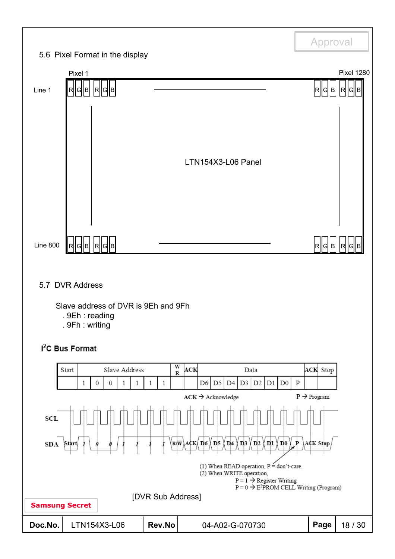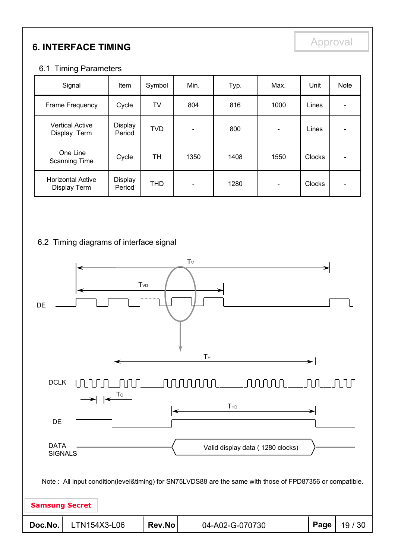# **6. INTERFACE TIMING**

#### 6.1 Timing Parameters

| Signal                                   | Item              | Symbol     | Min.                     | Typ. | Max.                     | Unit          | <b>Note</b> |
|------------------------------------------|-------------------|------------|--------------------------|------|--------------------------|---------------|-------------|
| Frame Frequency                          | Cycle             | <b>TV</b>  | 804                      | 816  | 1000                     | Lines         |             |
| <b>Vertical Active</b><br>Display Term   | Display<br>Period | <b>TVD</b> | $\overline{\phantom{0}}$ | 800  | $\overline{\phantom{a}}$ | Lines         |             |
| One Line<br><b>Scanning Time</b>         | Cycle             | TH         | 1350                     | 1408 | 1550                     | <b>Clocks</b> |             |
| <b>Horizontal Active</b><br>Display Term | Display<br>Period | <b>THD</b> |                          | 1280 |                          | <b>Clocks</b> |             |

#### 6.2 Timing diagrams of interface signal

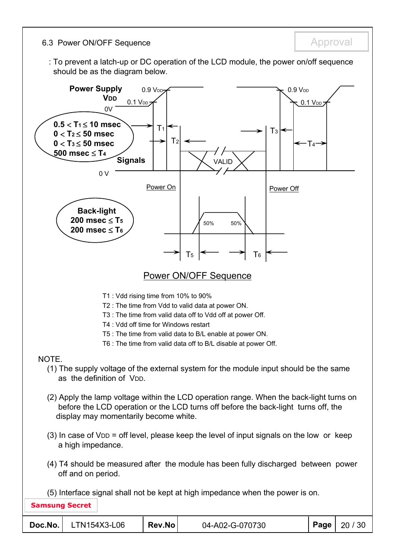6.3 Power ON/OFF Sequence **Approval** Approval

: To prevent a latch-up or DC operation of the LCD module, the power on/off sequence should be as the diagram below.

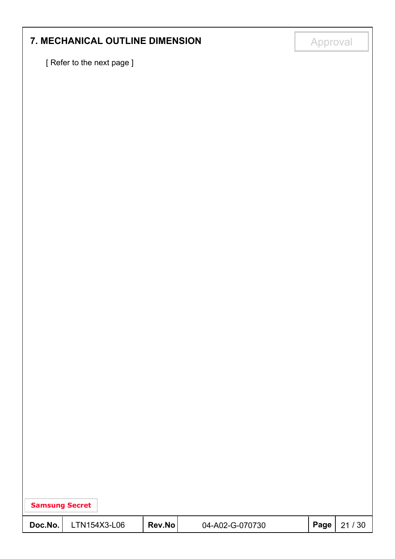# **7. MECHANICAL OUTLINE DIMENSION Approval**

[ Refer to the next page ]

| <b>Samsung Secret</b> |              |        |                 |      |       |
|-----------------------|--------------|--------|-----------------|------|-------|
| Doc.No.               | LTN154X3-L06 | Rev.No | 04-A02-G-070730 | Page | 21/30 |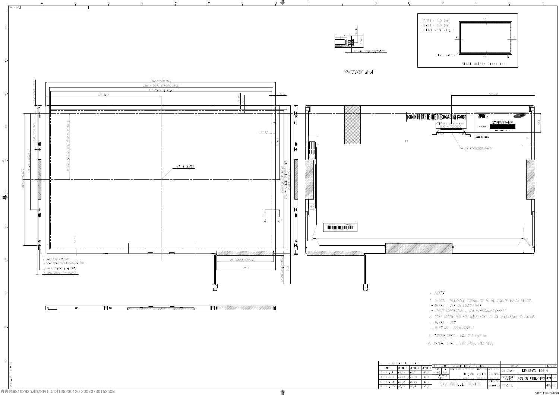



 $\blacklozenge$ 

|                       |       | GENERAL TOLERANCE |         |              |           |          |                         |                                  |               |                                |          |     |
|-----------------------|-------|-------------------|---------|--------------|-----------|----------|-------------------------|----------------------------------|---------------|--------------------------------|----------|-----|
|                       |       |                   |         | <b>REV</b>   | DATE      |          | DESCRIPTION OF REVISION |                                  | <b>REASON</b> |                                | CHG'D BY |     |
| <b>STEP</b>           | LEVEL | LEVEL 2           | LEVEL 3 | UNIT         | mm        | DRA'N BY | DES'D BY                | CHK 'D BY APP 'D BY              | MODEL NAME    | LTN154X3-L06-4                 |          |     |
| $0 \leq X \leq 4$     | ±0.05 | ±0/1              | ±0.2    | <b>SCALE</b> | 1/1       |          | CH.Y.BANG               | M.S.KIM   D.C.YANG               |               |                                |          |     |
| $4 \times X \leq 16$  | ±0.08 | 40.15             | ±0.3    |              | TOLERANCE |          |                         |                                  | PART/SHEET    |                                |          |     |
|                       |       |                   |         |              | LEVEL3    |          |                         | 2006.03.13 2006.03.13 2006.03.13 | <b>NAME</b>   | <b>OUTLINE DIMENSION SHEET</b> |          | 1/1 |
| $16 \times X \leq 64$ | ±0.12 | ±0.25             | ±0.5    |              |           |          | SAMSUNG ELECTRONICS     | SPEC, NO                         |               |                                |          |     |
| $64 \times X \le 256$ | ±0.25 | ±0.4              | ±0.8    |              |           |          |                         | $ DDS0***-000 $                  | CODE NO.      |                                | VER .    | 000 |

 $^{0}_{0}$ 

 $40 -$ 

 $^{0}_{0}$ 

 $m$ <sup>-</sup>

 $\circ_{\sf m}^{\sf O}$ 

 $\bigoplus_{\substack{2 \leq 1}}$ 

 $_{0}^{0}$ 

 $\frac{10}{7}$ 

 $^{0}_{-}$ 

 $\mathfrak{g}$  –

 $O -$ 

 $\frac{1}{N}$ 

- 3. TORQUE SPEC : MAX 2.5 Kgf-cm
- 4. WEIGHT SPEC : TYP 540g, MAX 560g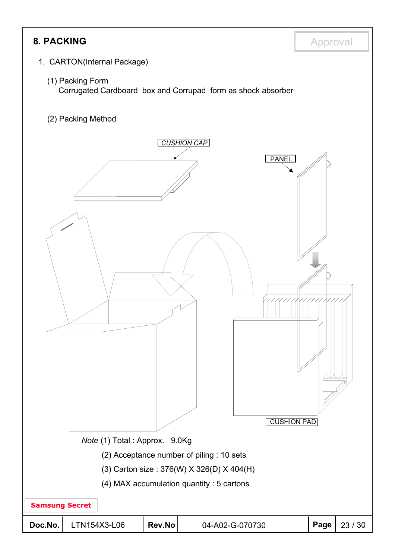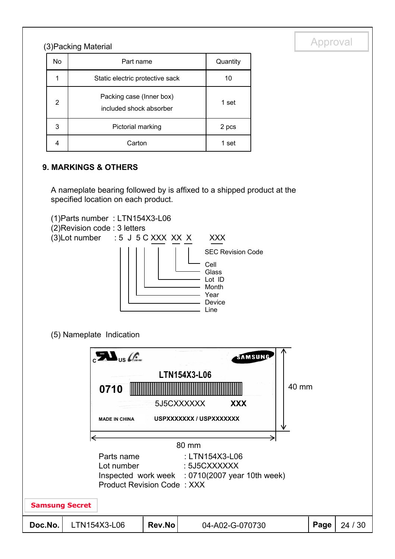# (3) Packing Material and the contract of the contract of the contract of the contract of the contract of the contract of the contract of the contract of the contract of the contract of the contract of the contract of the c

| No | Part name                                           | Quantity |
|----|-----------------------------------------------------|----------|
|    | Static electric protective sack                     | 10       |
| 2  | Packing case (Inner box)<br>included shock absorber | 1 set    |
| 3  | Pictorial marking                                   | 2 pcs    |
|    | Carton                                              | 1 set    |

#### **9. MARKINGS & OTHERS**

A nameplate bearing followed by is affixed to a shipped product at the specified location on each product.



|                                                                               | $\mathcal{L}_{\mathsf{US}}$<br>0710<br><b>MADE IN CHINA</b> |        | SAMSUNG<br><b>LTN154X3-L06</b><br>5J5CXXXXXX<br><b>XXX</b><br>USPXXXXXXX / USPXXXXXXX | 40 mm |      |         |  |
|-------------------------------------------------------------------------------|-------------------------------------------------------------|--------|---------------------------------------------------------------------------------------|-------|------|---------|--|
|                                                                               |                                                             |        |                                                                                       |       |      |         |  |
| : LTN154X3-L06<br>Parts name                                                  |                                                             |        |                                                                                       |       |      |         |  |
| : 5J5CXXXXXX<br>Lot number<br>Inspected work week : 0710(2007 year 10th week) |                                                             |        |                                                                                       |       |      |         |  |
| <b>Product Revision Code: XXX</b>                                             |                                                             |        |                                                                                       |       |      |         |  |
|                                                                               | <b>Samsung Secret</b>                                       |        |                                                                                       |       |      |         |  |
| Doc.No.                                                                       | LTN154X3-L06                                                | Rev.No | 04-A02-G-070730                                                                       |       | Page | 24 / 30 |  |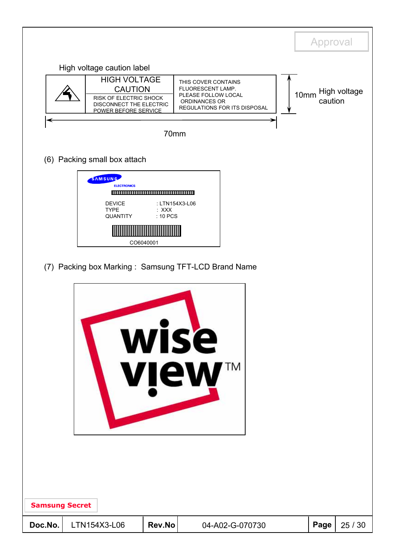|                       |                                                                                                                    |                                                    |                                                                                                                  |      | Approval                |
|-----------------------|--------------------------------------------------------------------------------------------------------------------|----------------------------------------------------|------------------------------------------------------------------------------------------------------------------|------|-------------------------|
|                       | High voltage caution label                                                                                         |                                                    |                                                                                                                  |      |                         |
|                       | <b>HIGH VOLTAGE</b><br><b>CAUTION</b><br>RISK OF ELECTRIC SHOCK<br>DISCONNECT THE ELECTRIC<br>POWER BEFORE SERVICE |                                                    | THIS COVER CONTAINS<br>FLUORESCENT LAMP.<br>PLEASE FOLLOW LOCAL<br>ORDINANCES OR<br>REGULATIONS FOR ITS DISPOSAL | 10mm | High voltage<br>caution |
|                       |                                                                                                                    | 70mm                                               |                                                                                                                  |      |                         |
|                       | (6) Packing small box attach                                                                                       |                                                    |                                                                                                                  |      |                         |
| <b>Samsung Secret</b> | SAMSUNG<br><b>ELECTRONICS</b><br><b>DEVICE</b><br><b>TYPE</b><br>QUANTITY                                          | : LTN154X3-L06<br>$:$ XXX<br>: 10 PCS<br>CO6040001 | (7) Packing box Marking: Samsung TFT-LCD Brand Name<br>wise<br>TM<br><b>view</b>                                 |      |                         |
| Doc.No.               | LTN154X3-L06                                                                                                       | Rev.No                                             | 04-A02-G-070730                                                                                                  | Page | 25 / 30                 |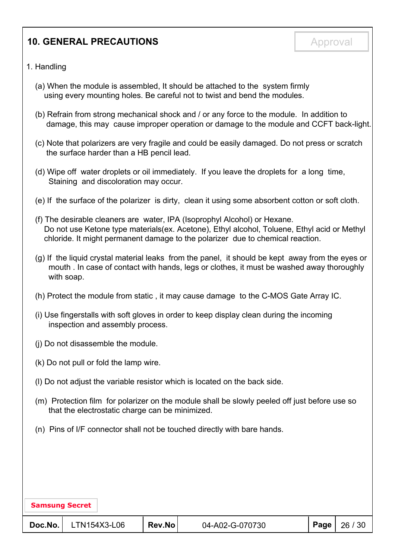## **10. GENERAL PRECAUTIONS Approval**

- 1. Handling
	- (a) When the module is assembled, It should be attached to the system firmly using every mounting holes. Be careful not to twist and bend the modules.
	- (b) Refrain from strong mechanical shock and / or any force to the module. In addition to damage, this may cause improper operation or damage to the module and CCFT back-light.
	- (c) Note that polarizers are very fragile and could be easily damaged. Do not press or scratch the surface harder than a HB pencil lead.
	- (d) Wipe off water droplets or oil immediately. If you leave the droplets for a long time, Staining and discoloration may occur.
	- (e) If the surface of the polarizer is dirty, clean it using some absorbent cotton or soft cloth.
	- (f) The desirable cleaners are water, IPA (Isoprophyl Alcohol) or Hexane. Do not use Ketone type materials(ex. Acetone), Ethyl alcohol, Toluene, Ethyl acid or Methyl chloride. It might permanent damage to the polarizer due to chemical reaction.
	- (g) If the liquid crystal material leaks from the panel, it should be kept away from the eyes or mouth . In case of contact with hands, legs or clothes, it must be washed away thoroughly with soap.
	- (h) Protect the module from static , it may cause damage to the C-MOS Gate Array IC.
	- (i) Use fingerstalls with soft gloves in order to keep display clean during the incoming inspection and assembly process.
	- (j) Do not disassemble the module.
	- (k) Do not pull or fold the lamp wire.
	- (l) Do not adjust the variable resistor which is located on the back side.
	- (m) Protection film for polarizer on the module shall be slowly peeled off just before use so that the electrostatic charge can be minimized.
	- (n) Pins of I/F connector shall not be touched directly with bare hands.

| <b>Samsung Secret</b> |              |        |                 |      |         |
|-----------------------|--------------|--------|-----------------|------|---------|
| Doc.No.               | LTN154X3-L06 | Rev.No | 04-A02-G-070730 | Page | 26 / 30 |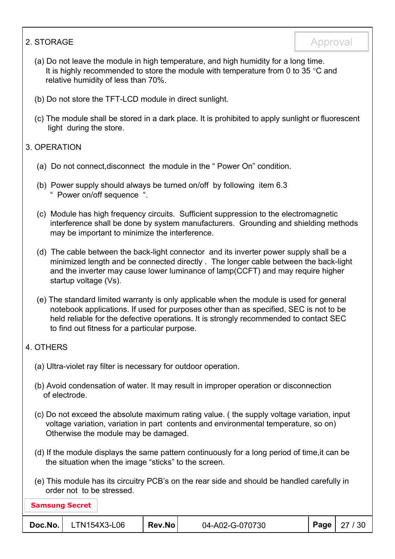#### 2. STORAGE Approval

- (a) Do not leave the module in high temperature, and high humidity for a long time. It is highly recommended to store the module with temperature from 0 to 35  $\degree$ C and relative humidity of less than 70%.
- (b) Do not store the TFT-LCD module in direct sunlight.
- (c) The module shall be stored in a dark place. It is prohibited to apply sunlight or fluorescent light during the store.

#### 3. OPERATION

- (a) Do not connect,disconnect the module in the " Power On" condition.
- (b) Power supply should always be turned on/off by following item 6.3 " Power on/off sequence ".
- (c) Module has high frequency circuits. Sufficient suppression to the electromagnetic interference shall be done by system manufacturers. Grounding and shielding methods may be important to minimize the interference.
- (d) The cable between the back-light connector and its inverter power supply shall be a minimized length and be connected directly . The longer cable between the back-light and the inverter may cause lower luminance of lamp(CCFT) and may require higher startup voltage (Vs).
- (e) The standard limited warranty is only applicable when the module is used for general notebook applications. If used for purposes other than as specified, SEC is not to be held reliable for the defective operations. It is strongly recommended to contact SEC to find out fitness for a particular purpose.

#### 4. OTHERS

- (a) Ultra-violet ray filter is necessary for outdoor operation.
- (b) Avoid condensation of water. It may result in improper operation or disconnection of electrode.
- (c) Do not exceed the absolute maximum rating value. ( the supply voltage variation, input voltage variation, variation in part contents and environmental temperature, so on) Otherwise the module may be damaged.
- (d) If the module displays the same pattern continuously for a long period of time,it can be the situation when the image "sticks" to the screen.
- (e) This module has its circuitry PCB's on the rear side and should be handled carefully in order not to be stressed.

| <b>Samsung Secret</b> |              |        |                 |                       |
|-----------------------|--------------|--------|-----------------|-----------------------|
| Doc.No.               | LTN154X3-L06 | Rev.No | 04-A02-G-070730 | <b>Page</b>   27 / 30 |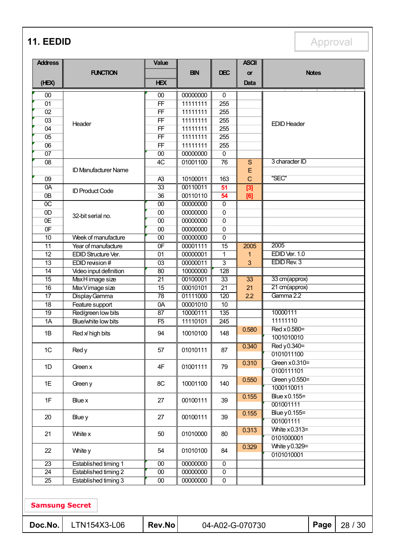**11. EEDID** Approval

| <b>Address</b>        |                             | <b>Value</b>    |                         |                  | <b>ASCII</b>   |                    |              |         |
|-----------------------|-----------------------------|-----------------|-------------------------|------------------|----------------|--------------------|--------------|---------|
|                       | <b>FUNCTION</b>             |                 | <b>BIN</b>              | <b>DEC</b>       | <b>or</b>      |                    | <b>Notes</b> |         |
| (HEX)                 |                             | <b>HEX</b>      |                         |                  | Data           |                    |              |         |
| $00\,$                |                             | 00              | 00000000                | 0                |                |                    |              |         |
| 01                    |                             | FF              | 11111111                | 255              |                |                    |              |         |
| 02                    |                             | FF              | 11111111                | 255              |                |                    |              |         |
| 03                    |                             | FF              | 11111111                | 255              |                |                    |              |         |
| 04                    | Header                      | $\overline{FF}$ | 11111111                | 255              |                | <b>EDID Header</b> |              |         |
| 05                    |                             | FF              | 11111111                | 255              |                |                    |              |         |
| 06                    |                             | FF              | 11111111                | 255              |                |                    |              |         |
| 07                    |                             | 00              | 00000000                | $\overline{0}$   |                |                    |              |         |
| $\overline{08}$       |                             | 4C              | 01001100                | 76               | S              | 3 character ID     |              |         |
|                       | <b>ID Manufacturer Name</b> |                 |                         |                  | E              |                    |              |         |
| 09                    |                             | A <sub>3</sub>  | 10100011                | 163              | $\overline{C}$ | "SEC"              |              |         |
| 0A                    |                             | $\overline{33}$ | 00110011                | 51               | $\boxed{3}$    |                    |              |         |
| 0B                    | <b>ID Product Code</b>      | 36              | 00110110                | 54               | [6]            |                    |              |         |
| $\overline{OC}$       |                             | 00              | 00000000                | $\overline{0}$   |                |                    |              |         |
| OD                    |                             | 00              | 00000000                | $\overline{0}$   |                |                    |              |         |
| 0E                    | 32-bit serial no.           | 00              | 00000000                | $\overline{0}$   |                |                    |              |         |
| 0 <sub>F</sub>        |                             | $\overline{00}$ | 00000000                | $\overline{0}$   |                |                    |              |         |
| 10                    | Week of manufacture         | 00              | 00000000                | $\pmb{0}$        |                |                    |              |         |
| $\overline{11}$       | Year of manufacture         | 0 <sub>F</sub>  | 00001111                | 15               | 2005           | 2005               |              |         |
| $\overline{12}$       | EDID Structure Ver.         | 01              | 00000001                | 1                | 1              | EDID Ver. 1.0      |              |         |
| 13                    | EDID revision #             | 03              | 00000011                | $\overline{3}$   | 3              | EDID Rev. 3        |              |         |
| $\overline{14}$       | Video input definition      | $\overline{80}$ | 10000000                | 128              |                |                    |              |         |
| 15                    | MaxH image size             | $\overline{21}$ | 00100001                | 33               | 33             | 33 cm(approx)      |              |         |
| $\overline{16}$       | Max Vimage size             | $\overline{15}$ | 00010101                | $\overline{21}$  | 21             | 21 cm(approx)      |              |         |
| $\overline{17}$       | Display Gamma               | $\overline{78}$ | 01111000                | 120              | 2.2            | Gamma 2.2          |              |         |
| 18                    | Feature support             | 0A              | 00001010                | $\overline{10}$  |                |                    |              |         |
| $\overline{19}$       | Red/green low bits          | $\overline{87}$ | 10000111                | 135              |                | 10000111           |              |         |
| $\overline{1A}$       | Blue/white low bits         | F5              | 11110101                | $\overline{245}$ |                | 11111110           |              |         |
|                       |                             |                 |                         |                  | 0.580          | Red x 0.580=       |              |         |
| 1B                    | Red x high bits             | 94              | 10010100                | 148              |                | 1001010010         |              |         |
|                       |                             |                 |                         |                  | 0.340          | Red y 0.340=       |              |         |
| 1C                    | Red y                       | 57              | 01010111                | 87               |                | 0101011100         |              |         |
|                       |                             |                 |                         |                  | 0.310          | Green $x0.310=$    |              |         |
| 1D                    | Green x                     | 4F              | 01001111                | 79               |                | 0100111101         |              |         |
|                       |                             |                 |                         |                  | 0.550          | Green y 0.550=     |              |         |
| 1E                    | Green y                     | 8C              | 10001100                | 140              |                | 1000110011         |              |         |
|                       |                             |                 |                         |                  | 0.155          | Blue x 0.155=      |              |         |
| 1F                    | Blue x                      | 27              | 00100111                | 39               |                | 001001111          |              |         |
|                       |                             |                 |                         |                  | 0.155          | Blue y 0.155=      |              |         |
| 20                    | Blue y                      | 27              | 00100111                | 39               |                | 001001111          |              |         |
|                       |                             |                 |                         |                  | 0.313          | White $x0.313=$    |              |         |
| 21                    | White x                     | 50              | 01010000                | 80               |                | 0101000001         |              |         |
|                       |                             |                 |                         |                  | 0.329          | White y 0.329=     |              |         |
| 22                    | White y                     | 54              | 01010100                | 84               |                | 0101010001         |              |         |
| $\overline{23}$       | <b>Established timing 1</b> | 00              | 00000000                | $\overline{0}$   |                |                    |              |         |
| 24                    | Established timing 2        | $00\,$          | 00000000                | $\overline{0}$   |                |                    |              |         |
| 25                    | <b>Established timing 3</b> | $\overline{00}$ | 00000000                | $\overline{0}$   |                |                    |              |         |
|                       |                             |                 |                         |                  |                |                    |              |         |
| <b>Samsung Secret</b> |                             |                 |                         |                  |                |                    |              |         |
| Doc.No.               | LTN154X3-L06                | Rev.No          | Page<br>04-A02-G-070730 |                  |                |                    |              | 28 / 30 |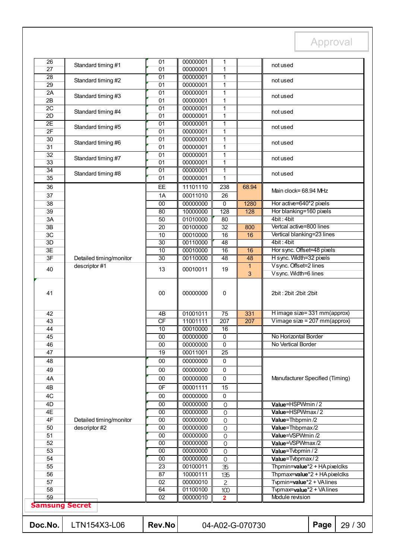| 51<br>52<br>53<br>54<br>55<br>56<br>57<br>58<br>59 | <b>Samsung Secret</b>   | 00<br>00<br>00<br>$\overline{23}$<br>87<br>02<br>64<br>02 | 00000000<br>00000000<br>00000000<br>00100011<br>10000111<br>00000010<br>01100100<br>00000010 | 0<br>$\mathbf 0$<br>$\mathbf 0$<br>35<br>135<br>$\mathbf{Z}$<br>100<br>$\overline{2}$ |                | Value=VSPWmax/2<br>Value=Tvbpmin / 2<br>Value=Tvbpmax/2<br>Thpmin=value*2 + HA pixelclks<br>Thpmax=value*2 + HA pixelclks<br>Typmin=value*2 + VAlines<br>Typmax=value*2 + VAlines<br>Module revision |
|----------------------------------------------------|-------------------------|-----------------------------------------------------------|----------------------------------------------------------------------------------------------|---------------------------------------------------------------------------------------|----------------|------------------------------------------------------------------------------------------------------------------------------------------------------------------------------------------------------|
|                                                    |                         |                                                           |                                                                                              |                                                                                       |                |                                                                                                                                                                                                      |
|                                                    |                         |                                                           |                                                                                              |                                                                                       |                |                                                                                                                                                                                                      |
|                                                    |                         |                                                           |                                                                                              |                                                                                       |                |                                                                                                                                                                                                      |
|                                                    |                         |                                                           |                                                                                              |                                                                                       |                |                                                                                                                                                                                                      |
|                                                    |                         |                                                           |                                                                                              |                                                                                       |                |                                                                                                                                                                                                      |
|                                                    |                         |                                                           |                                                                                              |                                                                                       |                |                                                                                                                                                                                                      |
|                                                    |                         |                                                           |                                                                                              |                                                                                       |                |                                                                                                                                                                                                      |
|                                                    |                         |                                                           |                                                                                              |                                                                                       |                |                                                                                                                                                                                                      |
|                                                    |                         | 00                                                        | 00000000                                                                                     | $\mathbf 0$                                                                           |                | Value=VSPWmin /2                                                                                                                                                                                     |
| 50                                                 | descriptor #2           | 00                                                        | 00000000                                                                                     | $\mathsf O$                                                                           |                | Value=Thbpmax/2                                                                                                                                                                                      |
| 4F                                                 | Detailed timing/monitor | 00                                                        | 00000000                                                                                     | $\mathsf O$                                                                           |                | Value=Thbpmin /2                                                                                                                                                                                     |
| 4E                                                 |                         | 00                                                        | 00000000                                                                                     | 0<br>$\mathbf 0$                                                                      |                | Value=HSPWmax/2                                                                                                                                                                                      |
| 4D                                                 |                         | 00                                                        | 00000000                                                                                     |                                                                                       |                | Value=HSPWmin / 2                                                                                                                                                                                    |
| 4C                                                 |                         | 00                                                        | 00000000                                                                                     | 0                                                                                     |                |                                                                                                                                                                                                      |
| 4B                                                 |                         | 0F                                                        | 00001111                                                                                     | 15                                                                                    |                |                                                                                                                                                                                                      |
| 4A                                                 |                         | 00                                                        | 00000000                                                                                     | 0                                                                                     |                | Manufacturer Specified (Timing)                                                                                                                                                                      |
| 49                                                 |                         | 00                                                        | 00000000                                                                                     | 0                                                                                     |                |                                                                                                                                                                                                      |
| 48                                                 |                         | 00                                                        | 00000000                                                                                     | 0                                                                                     |                |                                                                                                                                                                                                      |
| 47                                                 |                         | 19                                                        | 00011001                                                                                     | 25                                                                                    |                |                                                                                                                                                                                                      |
| 46                                                 |                         | 00                                                        | 00000000                                                                                     | $\overline{0}$                                                                        |                | No Vertical Border                                                                                                                                                                                   |
| 44<br>45                                           |                         | 10<br>00                                                  | 00010000<br>00000000                                                                         | 16<br>0                                                                               |                | No Horizontal Border                                                                                                                                                                                 |
| 43                                                 |                         | CF                                                        | 11001111                                                                                     | 207                                                                                   | 207            | Vimage size = $207$ mm(approx)                                                                                                                                                                       |
| 42                                                 |                         | 4B                                                        | 01001011                                                                                     | 75                                                                                    | 331            | H image size= 331 mm(approx)                                                                                                                                                                         |
|                                                    |                         |                                                           |                                                                                              |                                                                                       |                |                                                                                                                                                                                                      |
| 41                                                 |                         | 00                                                        | 00000000                                                                                     | 0                                                                                     |                | 2bit: 2bit: 2bit: 2bit                                                                                                                                                                               |
| 40                                                 |                         | 13                                                        | 00010011                                                                                     | 19                                                                                    | $\overline{3}$ | V sync. Width=6 lines                                                                                                                                                                                |
|                                                    | descriptor #1           |                                                           |                                                                                              |                                                                                       | 1              | Vsync. Offset=2 lines                                                                                                                                                                                |
| 3F                                                 | Detailed timing/monitor | $\overline{30}$                                           | 00110000                                                                                     | 48                                                                                    | 48             | H sync. Width=32 pixels                                                                                                                                                                              |
| 3E                                                 |                         | 10                                                        | 00010000                                                                                     | $\overline{16}$                                                                       | 16             | Hor sync. Offset=48 pixels                                                                                                                                                                           |
| 3D                                                 |                         | 30                                                        | 00110000                                                                                     | 48                                                                                    |                | 4bit: 4bit                                                                                                                                                                                           |
| 3B<br>3C                                           |                         | 20<br>10                                                  | 00100000<br>00010000                                                                         | $\overline{32}$<br>16                                                                 | 800<br>16      | Vertical blanking=23 lines                                                                                                                                                                           |
| 3A                                                 |                         | $\overline{50}$                                           | 01010000                                                                                     | 80                                                                                    |                | 4bit: 4bit<br>Vertcal active=800 lines                                                                                                                                                               |
| 39                                                 |                         | $\overline{80}$                                           | 10000000                                                                                     | 128                                                                                   | 128            | Hor blanking=160 pixels                                                                                                                                                                              |
| 38                                                 |                         | 00                                                        | 00000000                                                                                     | $\overline{0}$                                                                        | 1280           | Hor active=640*2 pixels                                                                                                                                                                              |
| 37                                                 |                         | 1A                                                        | 00011010                                                                                     | 26                                                                                    |                |                                                                                                                                                                                                      |
| 36                                                 |                         | EE                                                        | 11101110                                                                                     | 238                                                                                   | 68.94          | Main clock= 68.94 MHz                                                                                                                                                                                |
| 35                                                 |                         | 01                                                        | 00000001                                                                                     | $\mathbf{1}$                                                                          |                |                                                                                                                                                                                                      |
| 34                                                 | Standard timing #8      | $\overline{01}$                                           | 00000001                                                                                     | $\mathbf{1}$                                                                          |                | not used                                                                                                                                                                                             |
| 33                                                 |                         | 01                                                        | 00000001                                                                                     | $\overline{1}$                                                                        |                |                                                                                                                                                                                                      |
| $\overline{32}$                                    | Standard timing #7      | $\overline{01}$                                           | 00000001                                                                                     | $\mathbf{1}$                                                                          |                | not used                                                                                                                                                                                             |
| 31                                                 | Standard timing #6      | 01                                                        | 00000001                                                                                     | 1                                                                                     |                |                                                                                                                                                                                                      |
| $\overline{30}$                                    |                         | $\overline{01}$                                           | 00000001                                                                                     | $\mathbf{1}$                                                                          |                | not used                                                                                                                                                                                             |
| 2F                                                 | Standard timing #5      | 01                                                        | 00000001                                                                                     | 1                                                                                     |                | not used                                                                                                                                                                                             |
| 2E                                                 |                         | $\overline{01}$                                           | 00000001                                                                                     | 1                                                                                     |                |                                                                                                                                                                                                      |
| 2D                                                 | Standard timing #4      | 01                                                        | 00000001                                                                                     | 1                                                                                     |                | not used                                                                                                                                                                                             |
| 2B<br>2C                                           |                         | 01<br>$\overline{01}$                                     | 00000001<br>00000001                                                                         | 1<br>1                                                                                |                |                                                                                                                                                                                                      |
| 2A                                                 | Standard timing #3      | $\overline{01}$                                           | 00000001                                                                                     | $\mathbf{1}$                                                                          |                | not used                                                                                                                                                                                             |
| 29                                                 |                         | 01                                                        | 00000001                                                                                     | $\mathbf{1}$                                                                          |                |                                                                                                                                                                                                      |
| 28                                                 | Standard timing #2      | 01                                                        | 00000001                                                                                     | $\mathbf{1}$                                                                          |                | not used                                                                                                                                                                                             |
| 27                                                 |                         | 01                                                        | 00000001                                                                                     | $\mathbf{1}$                                                                          |                | not used                                                                                                                                                                                             |
| 26                                                 |                         | 01                                                        | 00000001                                                                                     | 1                                                                                     |                |                                                                                                                                                                                                      |
|                                                    |                         | Standard timing #1                                        |                                                                                              |                                                                                       |                |                                                                                                                                                                                                      |